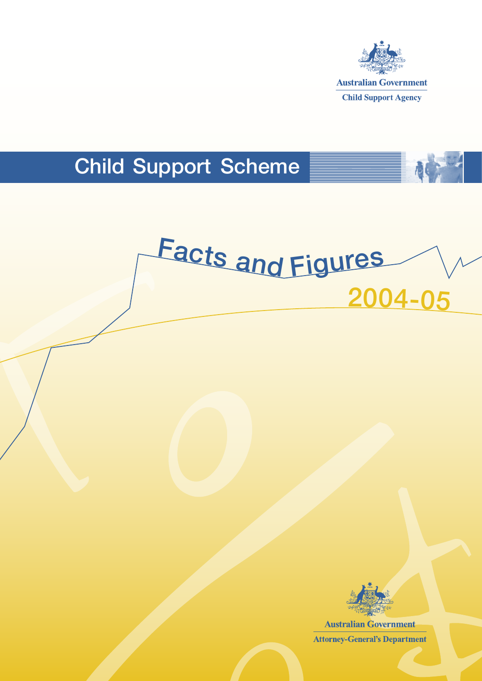

## Child Support Scheme





**Australian Government Attorney-General's Department**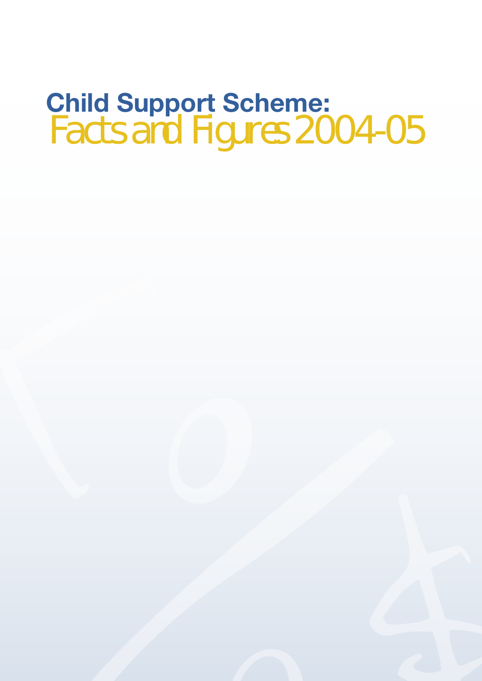## **Child Support Scheme:**  Facts and Figures 2004-05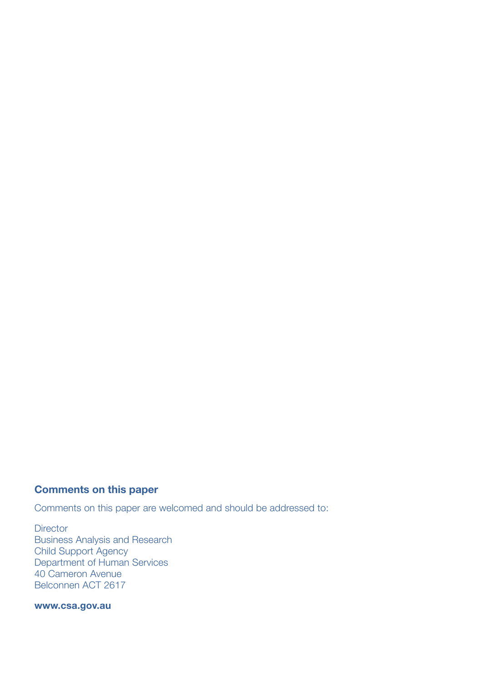### **Comments on this paper**

Comments on this paper are welcomed and should be addressed to:

**Director** Business Analysis and Research Child Support Agency Department of Human Services 40 Cameron Avenue Belconnen ACT 2617

#### **www.csa.gov.au**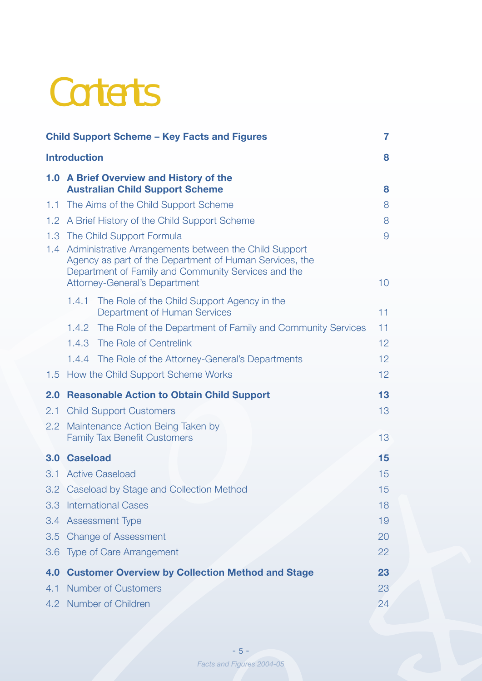## **Contents**

|                  | <b>Child Support Scheme - Key Facts and Figures</b>                                                                                                                                                                 | 7               |
|------------------|---------------------------------------------------------------------------------------------------------------------------------------------------------------------------------------------------------------------|-----------------|
|                  | <b>Introduction</b>                                                                                                                                                                                                 | 8               |
|                  | 1.0 A Brief Overview and History of the<br><b>Australian Child Support Scheme</b>                                                                                                                                   | 8               |
|                  | 1.1 The Aims of the Child Support Scheme                                                                                                                                                                            | 8               |
| 1.2 <sub>1</sub> | A Brief History of the Child Support Scheme                                                                                                                                                                         | 8               |
|                  | 1.3 The Child Support Formula                                                                                                                                                                                       | $\overline{9}$  |
|                  | 1.4 Administrative Arrangements between the Child Support<br>Agency as part of the Department of Human Services, the<br>Department of Family and Community Services and the<br><b>Attorney-General's Department</b> | 10 <sup>°</sup> |
|                  | The Role of the Child Support Agency in the<br>1.4.1                                                                                                                                                                |                 |
|                  | Department of Human Services                                                                                                                                                                                        | 11              |
|                  | 1.4.2 The Role of the Department of Family and Community Services                                                                                                                                                   | 11              |
|                  | 1.4.3 The Role of Centrelink                                                                                                                                                                                        | 12 <sup>2</sup> |
|                  | 1.4.4 The Role of the Attorney-General's Departments                                                                                                                                                                | 12 <sup>2</sup> |
|                  | 1.5 How the Child Support Scheme Works                                                                                                                                                                              | 12 <sub>2</sub> |
| 2.0              | <b>Reasonable Action to Obtain Child Support</b>                                                                                                                                                                    | 13              |
| 2.1              | <b>Child Support Customers</b>                                                                                                                                                                                      | 13              |
| 2.2              | Maintenance Action Being Taken by<br><b>Family Tax Benefit Customers</b>                                                                                                                                            | 13              |
| 3.0              | <b>Caseload</b>                                                                                                                                                                                                     | 15              |
| 3.1              | <b>Active Caseload</b>                                                                                                                                                                                              | 15              |
|                  | 3.2 Caseload by Stage and Collection Method                                                                                                                                                                         | 15              |
| 3.3 <sub>2</sub> | <b>International Cases</b>                                                                                                                                                                                          | 18              |
| 3.4              | <b>Assessment Type</b>                                                                                                                                                                                              | 19              |
| 3.5              | <b>Change of Assessment</b>                                                                                                                                                                                         | 20              |
| 3.6              | <b>Type of Care Arrangement</b>                                                                                                                                                                                     | 22              |
| 4.0              | <b>Customer Overview by Collection Method and Stage</b>                                                                                                                                                             | 23              |
| 4.1              | <b>Number of Customers</b>                                                                                                                                                                                          | 23              |
|                  | 4.2 Number of Children                                                                                                                                                                                              | 24              |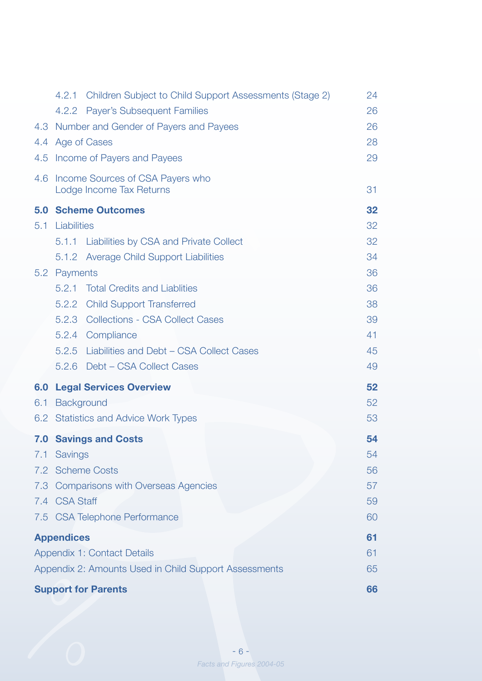|     |                   | 4.2.1 Children Subject to Child Support Assessments (Stage 2)    | 24 |
|-----|-------------------|------------------------------------------------------------------|----|
|     |                   | 4.2.2 Payer's Subsequent Families                                | 26 |
|     |                   | 4.3 Number and Gender of Payers and Payees                       | 26 |
|     |                   | 4.4 Age of Cases                                                 | 28 |
|     |                   | 4.5 Income of Payers and Payees                                  | 29 |
|     |                   | 4.6 Income Sources of CSA Payers who<br>Lodge Income Tax Returns | 31 |
|     |                   | <b>5.0 Scheme Outcomes</b>                                       | 32 |
| 5.1 | Liabilities       |                                                                  | 32 |
|     |                   | 5.1.1 Liabilities by CSA and Private Collect                     | 32 |
|     |                   | 5.1.2 Average Child Support Liabilities                          | 34 |
|     | 5.2 Payments      |                                                                  | 36 |
|     |                   | 5.2.1 Total Credits and Liablities                               | 36 |
|     |                   | 5.2.2 Child Support Transferred                                  | 38 |
|     |                   | 5.2.3 Collections - CSA Collect Cases                            | 39 |
|     |                   | 5.2.4 Compliance                                                 | 41 |
|     |                   | 5.2.5 Liabilities and Debt - CSA Collect Cases                   | 45 |
|     |                   | 5.2.6 Debt - CSA Collect Cases                                   | 49 |
| 6.0 |                   | <b>Legal Services Overview</b>                                   | 52 |
| 6.1 | Background        |                                                                  | 52 |
|     |                   | 6.2 Statistics and Advice Work Types                             | 53 |
|     |                   | <b>7.0 Savings and Costs</b>                                     | 54 |
|     | 7.1 Savings       |                                                                  | 54 |
|     |                   | 7.2 Scheme Costs                                                 | 56 |
| 7.3 |                   | <b>Comparisons with Overseas Agencies</b>                        | 57 |
|     | 7.4 CSA Staff     |                                                                  | 59 |
|     |                   | 7.5 CSA Telephone Performance                                    | 60 |
|     | <b>Appendices</b> |                                                                  | 61 |
|     |                   | Appendix 1: Contact Details                                      | 61 |
|     |                   | Appendix 2: Amounts Used in Child Support Assessments            | 65 |
|     |                   | <b>Support for Parents</b>                                       | 66 |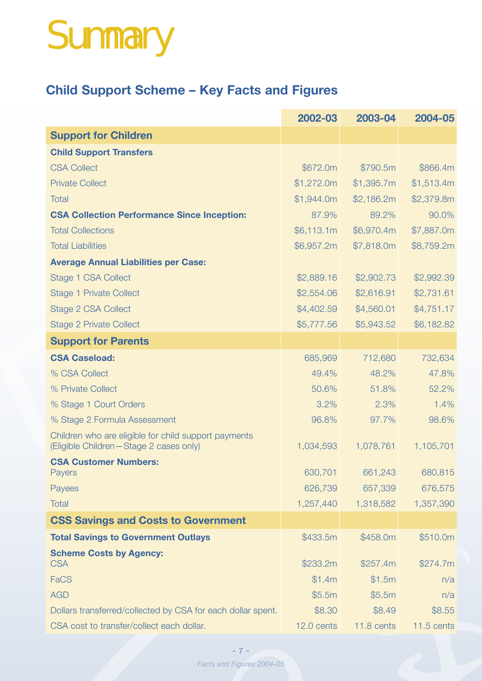# Summary

## **Child Support Scheme – Key Facts and Figures**

|                                                                                                | 2002-03    | 2003-04    | 2004-05      |
|------------------------------------------------------------------------------------------------|------------|------------|--------------|
| <b>Support for Children</b>                                                                    |            |            |              |
| <b>Child Support Transfers</b>                                                                 |            |            |              |
| <b>CSA Collect</b>                                                                             | \$672.0m   | \$790.5m   | \$866.4m     |
| <b>Private Collect</b>                                                                         | \$1,272.0m | \$1,395.7m | \$1,513.4m   |
| <b>Total</b>                                                                                   | \$1,944.0m | \$2,186.2m | \$2,379.8m   |
| <b>CSA Collection Performance Since Inception:</b>                                             | 87.9%      | 89.2%      | 90.0%        |
| <b>Total Collections</b>                                                                       | \$6,113.1m | \$6,970.4m | \$7,887.0m   |
| <b>Total Liabilities</b>                                                                       | \$6,957.2m | \$7,818.0m | \$8,759.2m   |
| <b>Average Annual Liabilities per Case:</b>                                                    |            |            |              |
| Stage 1 CSA Collect                                                                            | \$2,889.16 | \$2,902.73 | \$2,992.39   |
| <b>Stage 1 Private Collect</b>                                                                 | \$2,554.06 | \$2,616.91 | \$2,731.61   |
| Stage 2 CSA Collect                                                                            | \$4,402.59 | \$4,560.01 | \$4,751.17   |
| <b>Stage 2 Private Collect</b>                                                                 | \$5,777.56 | \$5,943.52 | \$6,182.82   |
| <b>Support for Parents</b>                                                                     |            |            |              |
| <b>CSA Caseload:</b>                                                                           | 685,969    | 712,680    | 732,634      |
| % CSA Collect                                                                                  | 49.4%      | 48.2%      | 47.8%        |
| % Private Collect                                                                              | 50.6%      | 51.8%      | 52.2%        |
| % Stage 1 Court Orders                                                                         | 3.2%       | 2.3%       | 1.4%         |
| % Stage 2 Formula Assessment                                                                   | 96.8%      | 97.7%      | 98.6%        |
| Children who are eligible for child support payments<br>(Eligible Children-Stage 2 cases only) | 1,034,593  | 1,078,761  | 1,105,701    |
| <b>CSA Customer Numbers:</b>                                                                   |            |            |              |
| Payers                                                                                         | 630,701    | 661,243    | 680,815      |
| Payees                                                                                         | 626,739    | 657,339    | 676,575      |
| <b>Total</b>                                                                                   | 1,257,440  | 1,318,582  | 1,357,390    |
| <b>CSS Savings and Costs to Government</b>                                                     |            |            |              |
| <b>Total Savings to Government Outlays</b>                                                     | \$433.5m   | \$458.0m   | \$510.0m     |
| <b>Scheme Costs by Agency:</b><br><b>CSA</b>                                                   | \$233.2m   | \$257.4m   | \$274.7m     |
| <b>FaCS</b>                                                                                    | \$1.4m     | \$1.5m     | n/a          |
| <b>AGD</b>                                                                                     | \$5.5m     | \$5.5m     | n/a          |
| Dollars transferred/collected by CSA for each dollar spent.                                    | \$8.30     | \$8.49     | \$8.55       |
| CSA cost to transfer/collect each dollar.                                                      | 12.0 cents | 11.8 cents | $11.5$ cents |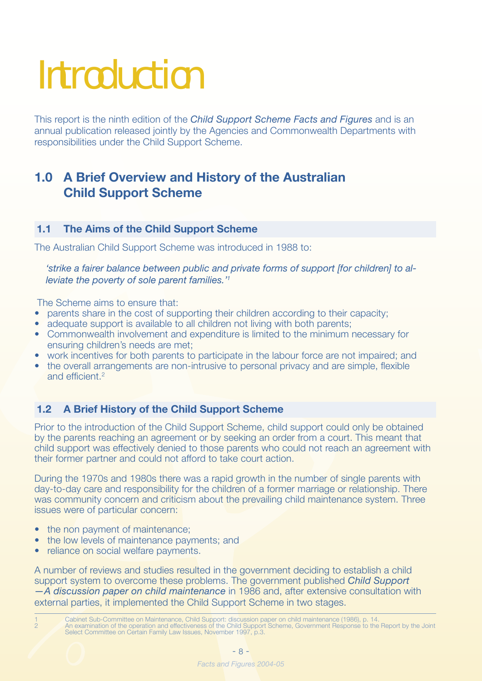# **Introduction**

This report is the ninth edition of the *Child Support Scheme Facts and Figures* and is an annual publication released jointly by the Agencies and Commonwealth Departments with responsibilities under the Child Support Scheme.

### **1.0 A Brief Overview and History of the Australian Child Support Scheme**

#### **1.1 The Aims of the Child Support Scheme**

The Australian Child Support Scheme was introduced in 1988 to:

*'strike a fairer balance between public and private forms of support [for children] to alleviate the poverty of sole parent families.'1*

The Scheme aims to ensure that:

- parents share in the cost of supporting their children according to their capacity;
- adequate support is available to all children not living with both parents;
- Commonwealth involvement and expenditure is limited to the minimum necessary for ensuring children's needs are met;
- work incentives for both parents to participate in the labour force are not impaired; and
- the overall arrangements are non-intrusive to personal privacy and are simple, flexible and efficient.<sup>2</sup>

#### **1.2 A Brief History of the Child Support Scheme**

Prior to the introduction of the Child Support Scheme, child support could only be obtained by the parents reaching an agreement or by seeking an order from a court. This meant that child support was effectively denied to those parents who could not reach an agreement with their former partner and could not afford to take court action.

During the 1970s and 1980s there was a rapid growth in the number of single parents with day-to-day care and responsibility for the children of a former marriage or relationship. There was community concern and criticism about the prevailing child maintenance system. Three issues were of particular concern:

- the non payment of maintenance;
- the low levels of maintenance payments; and
- reliance on social welfare payments.

A number of reviews and studies resulted in the government deciding to establish a child support system to overcome these problems. The government published *Child Support —A discussion paper on child maintenance* in 1986 and, after extensive consultation with external parties, it implemented the Child Support Scheme in two stages.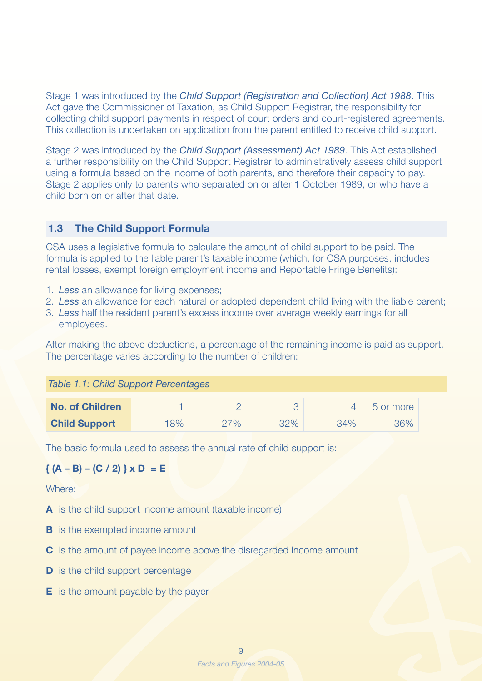Stage 1 was introduced by the *Child Support (Registration and Collection) Act 1988*. This Act gave the Commissioner of Taxation, as Child Support Registrar, the responsibility for collecting child support payments in respect of court orders and court-registered agreements. This collection is undertaken on application from the parent entitled to receive child support.

Stage 2 was introduced by the *Child Support (Assessment) Act 1989*. This Act established a further responsibility on the Child Support Registrar to administratively assess child support using a formula based on the income of both parents, and therefore their capacity to pay. Stage 2 applies only to parents who separated on or after 1 October 1989, or who have a child born on or after that date.

#### **1.3 The Child Support Formula**

CSA uses a legislative formula to calculate the amount of child support to be paid. The formula is applied to the liable parent's taxable income (which, for CSA purposes, includes rental losses, exempt foreign employment income and Reportable Fringe Benefits):

- 1. *Less* an allowance for living expenses;
- 2. *Less* an allowance for each natural or adopted dependent child living with the liable parent;
- 3. *Less* half the resident parent's excess income over average weekly earnings for all employees.

After making the above deductions, a percentage of the remaining income is paid as support. The percentage varies according to the number of children:

#### *Table 1.1: Child Support Percentages*

| <b>No. of Children</b> |     |       |     |     | b or more |
|------------------------|-----|-------|-----|-----|-----------|
| <b>Child Support</b>   | 18% | $7\%$ | 32% | 34% | 36%       |

The basic formula used to assess the annual rate of child support is:

#### ${ (A - B) - (C / 2) } x D = E$

Where:

- **A** is the child support income amount (taxable income)
- **B** is the exempted income amount
- **C** is the amount of payee income above the disregarded income amount
- **D** is the child support percentage
- **E** is the amount payable by the payer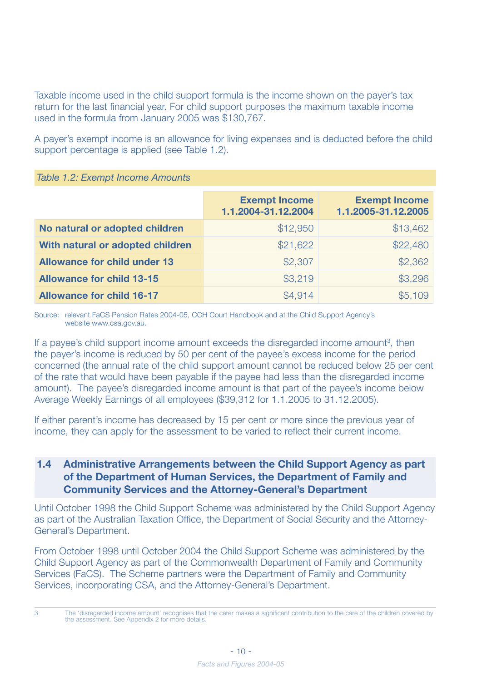Taxable income used in the child support formula is the income shown on the payer's tax return for the last financial year. For child support purposes the maximum taxable income used in the formula from January 2005 was \$130,767.

A payer's exempt income is an allowance for living expenses and is deducted before the child support percentage is applied (see Table 1.2).

|                                     | <b>Exempt Income</b><br>1.1.2004-31.12.2004 | <b>Exempt Income</b><br>1.1.2005-31.12.2005 |
|-------------------------------------|---------------------------------------------|---------------------------------------------|
| No natural or adopted children      | \$12,950                                    | \$13,462                                    |
| With natural or adopted children    | \$21,622                                    | \$22,480                                    |
| <b>Allowance for child under 13</b> | \$2,307                                     | \$2,362                                     |
| <b>Allowance for child 13-15</b>    | \$3,219                                     | \$3,296                                     |
| <b>Allowance for child 16-17</b>    | \$4,914                                     | \$5,109                                     |

Source: relevant FaCS Pension Rates 2004-05, CCH Court Handbook and at the Child Support Agency's website www.csa.gov.au.

If a payee's child support income amount exceeds the disregarded income amount<sup>3</sup>, then the payer's income is reduced by 50 per cent of the payee's excess income for the period concerned (the annual rate of the child support amount cannot be reduced below 25 per cent of the rate that would have been payable if the payee had less than the disregarded income amount). The payee's disregarded income amount is that part of the payee's income below Average Weekly Earnings of all employees (\$39,312 for 1.1.2005 to 31.12.2005).

If either parent's income has decreased by 15 per cent or more since the previous year of income, they can apply for the assessment to be varied to reflect their current income.

#### **1.4 Administrative Arrangements between the Child Support Agency as part of the Department of Human Services, the Department of Family and Community Services and the Attorney-General's Department**

Until October 1998 the Child Support Scheme was administered by the Child Support Agency as part of the Australian Taxation Office, the Department of Social Security and the Attorney-General's Department.

From October 1998 until October 2004 the Child Support Scheme was administered by the Child Support Agency as part of the Commonwealth Department of Family and Community Services (FaCS). The Scheme partners were the Department of Family and Community Services, incorporating CSA, and the Attorney-General's Department.

<sup>3</sup> The 'disregarded income amount' recognises that the carer makes a significant contribution to the care of the children covered by the assessment. See Appendix 2 for more details.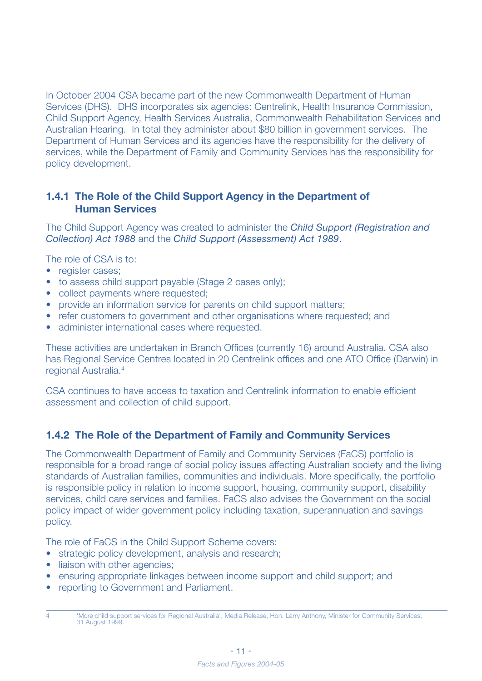In October 2004 CSA became part of the new Commonwealth Department of Human Services (DHS). DHS incorporates six agencies: Centrelink, Health Insurance Commission, Child Support Agency, Health Services Australia, Commonwealth Rehabilitation Services and Australian Hearing. In total they administer about \$80 billion in government services. The Department of Human Services and its agencies have the responsibility for the delivery of services, while the Department of Family and Community Services has the responsibility for policy development.

#### **1.4.1 The Role of the Child Support Agency in the Department of Human Services**

The Child Support Agency was created to administer the *Child Support (Registration and Collection) Act 1988* and the *Child Support (Assessment) Act 1989*.

The role of CSA is to:

- register cases:
- to assess child support payable (Stage 2 cases only);
- collect payments where requested:
- provide an information service for parents on child support matters;
- refer customers to government and other organisations where requested; and
- administer international cases where requested.

These activities are undertaken in Branch Offices (currently 16) around Australia. CSA also has Regional Service Centres located in 20 Centrelink offices and one ATO Office (Darwin) in regional Australia.4

CSA continues to have access to taxation and Centrelink information to enable efficient assessment and collection of child support.

#### **1.4.2 The Role of the Department of Family and Community Services**

The Commonwealth Department of Family and Community Services (FaCS) portfolio is responsible for a broad range of social policy issues affecting Australian society and the living standards of Australian families, communities and individuals. More specifically, the portfolio is responsible policy in relation to income support, housing, community support, disability services, child care services and families. FaCS also advises the Government on the social policy impact of wider government policy including taxation, superannuation and savings policy.

The role of FaCS in the Child Support Scheme covers:

- strategic policy development, analysis and research;
- liaison with other agencies;
- ensuring appropriate linkages between income support and child support; and
- reporting to Government and Parliament.

<sup>4 &#</sup>x27;More child support services for Regional Australia', Media Release, Hon. Larry Anthony, Minister for Community Services, 31 August 1999.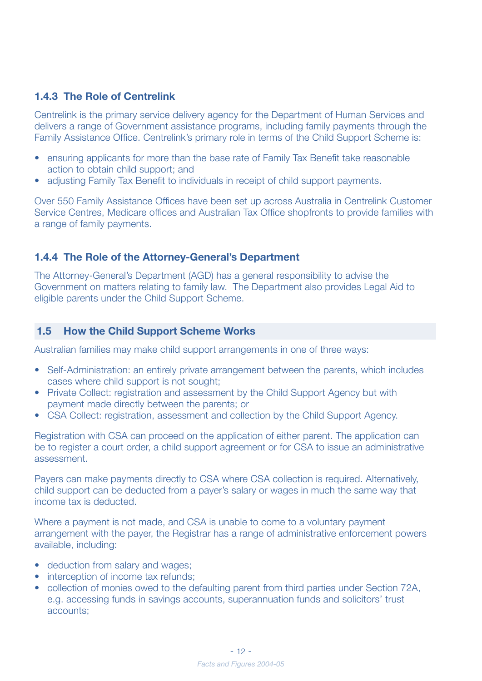#### **1.4.3 The Role of Centrelink**

Centrelink is the primary service delivery agency for the Department of Human Services and delivers a range of Government assistance programs, including family payments through the Family Assistance Office. Centrelink's primary role in terms of the Child Support Scheme is:

- ensuring applicants for more than the base rate of Family Tax Benefit take reasonable action to obtain child support; and
- adjusting Family Tax Benefit to individuals in receipt of child support payments.

Over 550 Family Assistance Offices have been set up across Australia in Centrelink Customer Service Centres, Medicare offices and Australian Tax Office shopfronts to provide families with a range of family payments.

#### **1.4.4 The Role of the Attorney-General's Department**

The Attorney-General's Department (AGD) has a general responsibility to advise the Government on matters relating to family law. The Department also provides Legal Aid to eligible parents under the Child Support Scheme.

#### **1.5 How the Child Support Scheme Works**

Australian families may make child support arrangements in one of three ways:

- Self-Administration: an entirely private arrangement between the parents, which includes cases where child support is not sought;
- Private Collect: registration and assessment by the Child Support Agency but with payment made directly between the parents; or
- CSA Collect: registration, assessment and collection by the Child Support Agency.

Registration with CSA can proceed on the application of either parent. The application can be to register a court order, a child support agreement or for CSA to issue an administrative assessment.

Payers can make payments directly to CSA where CSA collection is required. Alternatively, child support can be deducted from a payer's salary or wages in much the same way that income tax is deducted.

Where a payment is not made, and CSA is unable to come to a voluntary payment arrangement with the payer, the Registrar has a range of administrative enforcement powers available, including:

- deduction from salary and wages;
- interception of income tax refunds:
- collection of monies owed to the defaulting parent from third parties under Section 72A, e.g. accessing funds in savings accounts, superannuation funds and solicitors' trust accounts;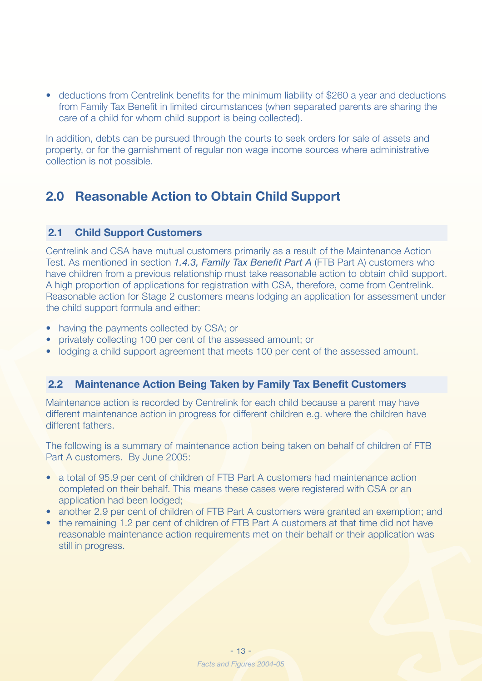• deductions from Centrelink benefits for the minimum liability of \$260 a year and deductions from Family Tax Benefit in limited circumstances (when separated parents are sharing the care of a child for whom child support is being collected).

In addition, debts can be pursued through the courts to seek orders for sale of assets and property, or for the garnishment of regular non wage income sources where administrative collection is not possible.

### **2.0 Reasonable Action to Obtain Child Support**

#### **2.1 Child Support Customers**

Centrelink and CSA have mutual customers primarily as a result of the Maintenance Action Test. As mentioned in section *1.4.3, Family Tax Benefit Part A* (FTB Part A) customers who have children from a previous relationship must take reasonable action to obtain child support. A high proportion of applications for registration with CSA, therefore, come from Centrelink. Reasonable action for Stage 2 customers means lodging an application for assessment under the child support formula and either:

- having the payments collected by CSA; or
- privately collecting 100 per cent of the assessed amount; or
- lodging a child support agreement that meets 100 per cent of the assessed amount.

#### **2.2 Maintenance Action Being Taken by Family Tax Benefit Customers**

Maintenance action is recorded by Centrelink for each child because a parent may have different maintenance action in progress for different children e.g. where the children have different fathers.

The following is a summary of maintenance action being taken on behalf of children of FTB Part A customers. By June 2005:

- a total of 95.9 per cent of children of FTB Part A customers had maintenance action completed on their behalf. This means these cases were registered with CSA or an application had been lodged;
- another 2.9 per cent of children of FTB Part A customers were granted an exemption; and
- the remaining 1.2 per cent of children of FTB Part A customers at that time did not have reasonable maintenance action requirements met on their behalf or their application was still in progress.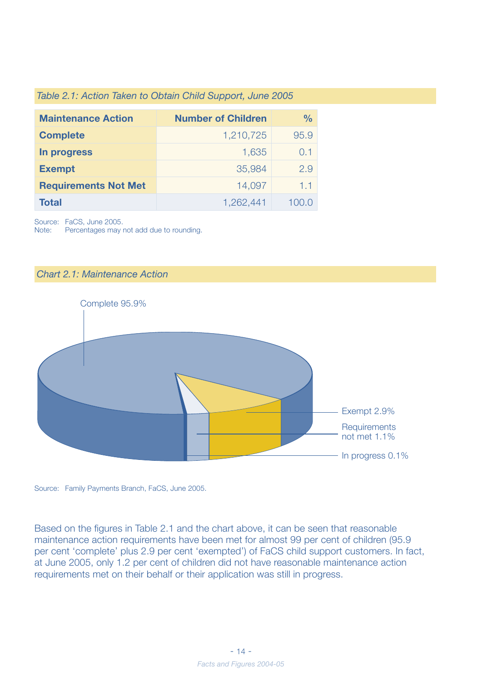| Table 2.1: Action Taken to Obtain Child Support, June 2005 |  |  |  |  |  |  |  |  |  |  |  |  |
|------------------------------------------------------------|--|--|--|--|--|--|--|--|--|--|--|--|
|------------------------------------------------------------|--|--|--|--|--|--|--|--|--|--|--|--|

| <b>Maintenance Action</b>   | <b>Number of Children</b> | $\frac{0}{0}$ |
|-----------------------------|---------------------------|---------------|
| <b>Complete</b>             | 1,210,725                 | 95.9          |
| In progress                 | 1,635                     | 0.1           |
| <b>Exempt</b>               | 35,984                    | 2.9           |
| <b>Requirements Not Met</b> | 14,097                    | 1.1           |
| <b>Total</b>                | 1,262,441                 | 1()()()       |

Source: FaCS, June 2005.

Note: Percentages may not add due to rounding.

#### *Chart 2.1: Maintenance Action*



Source: Family Payments Branch, FaCS, June 2005.

Based on the figures in Table 2.1 and the chart above, it can be seen that reasonable maintenance action requirements have been met for almost 99 per cent of children (95.9 per cent 'complete' plus 2.9 per cent 'exempted') of FaCS child support customers. In fact, at June 2005, only 1.2 per cent of children did not have reasonable maintenance action requirements met on their behalf or their application was still in progress.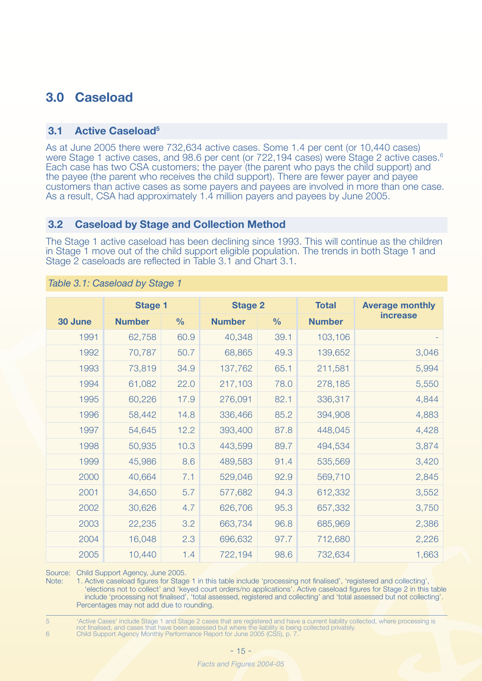### **3.0 Caseload**

#### **3.1 Active Caseload5**

As at June 2005 there were 732,634 active cases. Some 1.4 per cent (or 10,440 cases) were Stage 1 active cases, and 98.6 per cent (or 722,194 cases) were Stage 2 active cases.<sup>6</sup> Each case has two CSA customers; the payer (the parent who pays the child support) and the payee (the parent who receives the child support). There are fewer payer and payee customers than active cases as some payers and payees are involved in more than one case. As a result, CSA had approximately 1.4 million payers and payees by June 2005.

#### **3.2 Caseload by Stage and Collection Method**

The Stage 1 active caseload has been declining since 1993. This will continue as the children in Stage 1 move out of the child support eligible population. The trends in both Stage 1 and Stage 2 caseloads are reflected in Table 3.1 and Chart 3.1.

|         | <b>Stage 1</b> |               | <b>Stage 2</b> |               | <b>Total</b>  | <b>Average monthly</b> |
|---------|----------------|---------------|----------------|---------------|---------------|------------------------|
| 30 June | <b>Number</b>  | $\frac{0}{0}$ | <b>Number</b>  | $\frac{0}{0}$ | <b>Number</b> | <b>increase</b>        |
| 1991    | 62,758         | 60.9          | 40,348         | 39.1          | 103,106       |                        |
| 1992    | 70,787         | 50.7          | 68,865         | 49.3          | 139,652       | 3,046                  |
| 1993    | 73,819         | 34.9          | 137,762        | 65.1          | 211,581       | 5,994                  |
| 1994    | 61,082         | 22.0          | 217,103        | 78.0          | 278,185       | 5,550                  |
| 1995    | 60,226         | 17.9          | 276,091        | 82.1          | 336,317       | 4,844                  |
| 1996    | 58,442         | 14.8          | 336,466        | 85.2          | 394,908       | 4,883                  |
| 1997    | 54,645         | 12.2          | 393,400        | 87.8          | 448,045       | 4,428                  |
| 1998    | 50,935         | 10.3          | 443,599        | 89.7          | 494,534       | 3,874                  |
| 1999    | 45,986         | 8.6           | 489,583        | 91.4          | 535,569       | 3,420                  |
| 2000    | 40,664         | 7.1           | 529,046        | 92.9          | 569,710       | 2,845                  |
| 2001    | 34,650         | 5.7           | 577,682        | 94.3          | 612,332       | 3,552                  |
| 2002    | 30,626         | 4.7           | 626,706        | 95.3          | 657,332       | 3,750                  |
| 2003    | 22,235         | 3.2           | 663,734        | 96.8          | 685,969       | 2,386                  |
| 2004    | 16,048         | 2.3           | 696,632        | 97.7          | 712,680       | 2,226                  |
| 2005    | 10,440         | 1.4           | 722,194        | 98.6          | 732,634       | 1,663                  |

#### *Table 3.1: Caseload by Stage 1*

Source: Child Support Agency, June 2005.

Note: 1. Active caseload figures for Stage 1 in this table include 'processing not finalised', 'registered and collecting', 'elections not to collect' and 'keyed court orders/no applications'. Active caseload figures for Stage 2 in this table include 'processing not finalised', 'total assessed, registered and collecting' and 'total assessed but not collecting'. Percentages may not add due to rounding.

5 'Active Cases' include Stage 1 and Stage 2 cases that are registered and have a current liability collected, where processing is not finalised, and cases that have been assessed but where the liability is being collected privately. 6 Child Support Agency Monthly Performance Report for June 2005 (CS5), p. 7.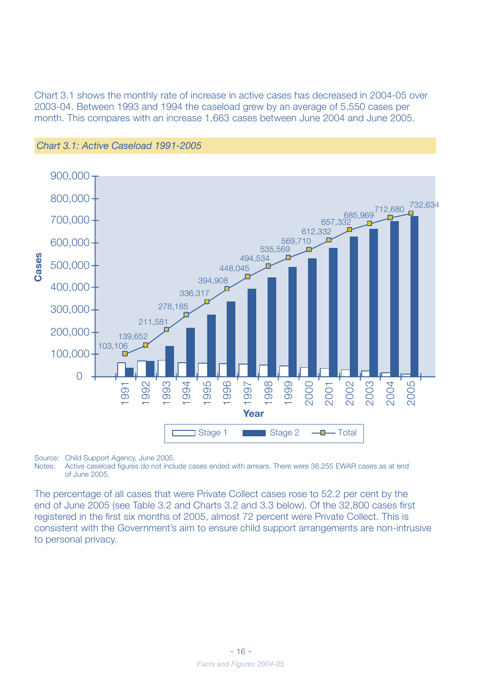Chart 3.1 shows the monthly rate of increase in active cases has decreased in 2004-05 over 2003-04. Between 1993 and 1994 the caseload grew by an average of 5,550 cases per month. This compares with an increase 1,663 cases between June 2004 and June 2005.





Source: Child Support Agency, June 2005.

Notes: Active caseload figures do not include cases ended with arrears. There were 38,255 EWAR cases as at end of June 2005.

The percentage of all cases that were Private Collect cases rose to 52.2 per cent by the end of June 2005 (see Table 3.2 and Charts 3.2 and 3.3 below). Of the 32,800 cases first registered in the first six months of 2005, almost 72 percent were Private Collect. This is consistent with the Government's aim to ensure child support arrangements are non-intrusive to personal privacy.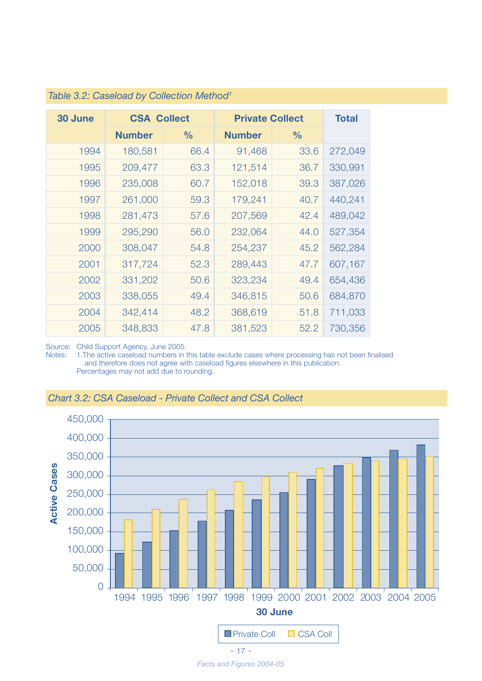| 30 June | <b>CSA Collect</b> |               | <b>Private Collect</b> | <b>Total</b>  |         |
|---------|--------------------|---------------|------------------------|---------------|---------|
|         | <b>Number</b>      | $\frac{0}{0}$ | <b>Number</b>          | $\frac{6}{9}$ |         |
| 1994    | 180,581            | 66.4          | 91,468                 | 33.6          | 272,049 |
| 1995    | 209,477            | 63.3          | 121,514                | 36.7          | 330,991 |
| 1996    | 235,008            | 60.7          | 152,018                | 39.3          | 387,026 |
| 1997    | 261,000            | 59.3          | 179,241                | 40.7          | 440,241 |
| 1998    | 281,473            | 57.6          | 207,569                | 42.4          | 489,042 |
| 1999    | 295,290            | 56.0          | 232,064                | 44.0          | 527,354 |
| 2000    | 308,047            | 54.8          | 254,237                | 45.2          | 562,284 |
| 2001    | 317,724            | 52.3          | 289,443                | 47.7          | 607,167 |
| 2002    | 331,202            | 50.6          | 323,234                | 49.4          | 654,436 |
| 2003    | 338,055            | 49.4          | 346,815                | 50.6          | 684,870 |
| 2004    | 342,414            | 48.2          | 368,619                | 51.8          | 711,033 |
| 2005    | 348,833            | 47.8          | 381,523                | 52.2          | 730,356 |

#### *Table 3.2: Caseload by Collection Method1*

Source: Child Support Agency, June 2005.

Notes: 1.The active caseload numbers in this table exclude cases where processing has not been finalised and therefore does not agree with caseload figures elsewhere in this publication. Percentages may not add due to rounding.



#### *Chart 3.2: CSA Caseload - Private Collect and CSA Collect*

*Facts and Figures 2004-05*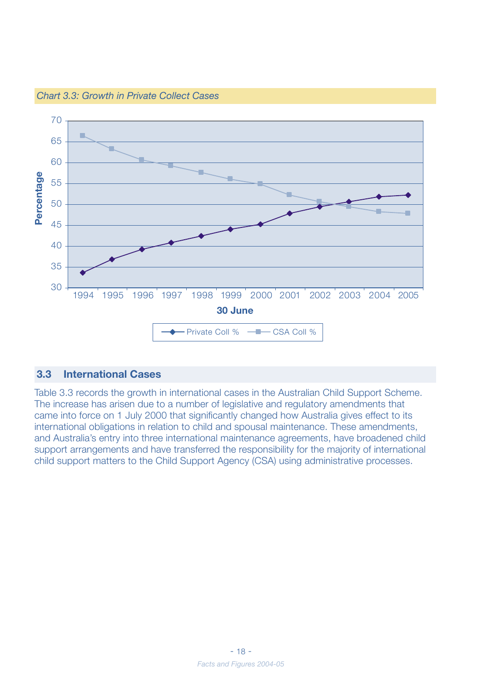

*Chart 3.3: Growth in Private Collect Cases*

#### **3.3 International Cases**

Table 3.3 records the growth in international cases in the Australian Child Support Scheme. The increase has arisen due to a number of legislative and regulatory amendments that came into force on 1 July 2000 that significantly changed how Australia gives effect to its international obligations in relation to child and spousal maintenance. These amendments, and Australia's entry into three international maintenance agreements, have broadened child support arrangements and have transferred the responsibility for the majority of international child support matters to the Child Support Agency (CSA) using administrative processes.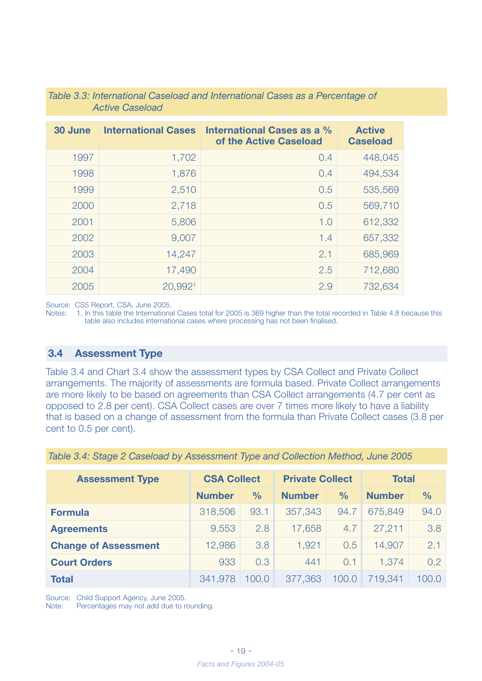| 30 June | <b>International Cases</b> | International Cases as a %<br>of the Active Caseload | <b>Active</b><br><b>Caseload</b> |
|---------|----------------------------|------------------------------------------------------|----------------------------------|
| 1997    | 1,702                      | 0.4                                                  | 448,045                          |
| 1998    | 1,876                      | 0.4                                                  | 494,534                          |
| 1999    | 2,510                      | 0.5                                                  | 535,569                          |
| 2000    | 2,718                      | 0.5                                                  | 569,710                          |
| 2001    | 5,806                      | 1.0                                                  | 612,332                          |
| 2002    | 9,007                      | 1.4                                                  | 657,332                          |
| 2003    | 14,247                     | 2.1                                                  | 685,969                          |
| 2004    | 17,490                     | 2.5                                                  | 712,680                          |
| 2005    | 20,992 <sup>1</sup>        | 2.9                                                  | 732,634                          |

*Table 3.3: International Caseload and International Cases as a Percentage of Active Caseload*

Source: CS5 Report, CSA, June 2005.

Notes: 1. In this table the International Cases total for 2005 is 369 higher than the total recorded in Table 4.8 because this table also includes international cases where processing has not been finalised.

#### **3.4 Assessment Type**

Table 3.4 and Chart 3.4 show the assessment types by CSA Collect and Private Collect arrangements. The majority of assessments are formula based. Private Collect arrangements are more likely to be based on agreements than CSA Collect arrangements (4.7 per cent as opposed to 2.8 per cent). CSA Collect cases are over 7 times more likely to have a liability that is based on a change of assessment from the formula than Private Collect cases (3.8 per cent to 0.5 per cent).

| <b>Assessment Type</b>      | <b>CSA Collect</b> |               | <b>Private Collect</b> |               | <b>Total</b>  |               |  |
|-----------------------------|--------------------|---------------|------------------------|---------------|---------------|---------------|--|
|                             |                    |               |                        |               |               |               |  |
|                             | <b>Number</b>      | $\frac{0}{0}$ | <b>Number</b>          | $\frac{0}{0}$ | <b>Number</b> | $\frac{0}{0}$ |  |
| <b>Formula</b>              | 318,506            | 93.1          | 357,343                | 94.7          | 675,849       | 94.0          |  |
| <b>Agreements</b>           | 9,553              | 2.8           | 17,658                 | 4.7           | 27,211        | 3.8           |  |
| <b>Change of Assessment</b> | 12,986             | 3.8           | 1,921                  | 0.5           | 14,907        | 2.1           |  |
| <b>Court Orders</b>         | 933                | 0.3           | 441                    | 0.1           | 1,374         | 0.2           |  |
| <b>Total</b>                | 341,978            | 100.0         | 377,363                | 100.0         | 719,341       | 100.0         |  |

*Table 3.4: Stage 2 Caseload by Assessment Type and Collection Method, June 2005*

Source: Child Support Agency, June 2005.

Note: Percentages may not add due to rounding.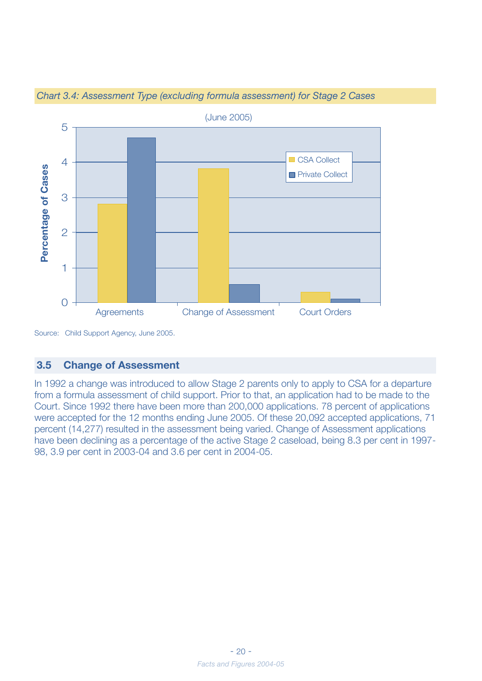![](_page_18_Figure_0.jpeg)

*Chart 3.4: Assessment Type (excluding formula assessment) for Stage 2 Cases*

#### **3.5 Change of Assessment**

In 1992 a change was introduced to allow Stage 2 parents only to apply to CSA for a departure from a formula assessment of child support. Prior to that, an application had to be made to the Court. Since 1992 there have been more than 200,000 applications. 78 percent of applications were accepted for the 12 months ending June 2005. Of these 20,092 accepted applications, 71 percent (14,277) resulted in the assessment being varied. Change of Assessment applications have been declining as a percentage of the active Stage 2 caseload, being 8.3 per cent in 1997- 98, 3.9 per cent in 2003-04 and 3.6 per cent in 2004-05.

Source: Child Support Agency, June 2005.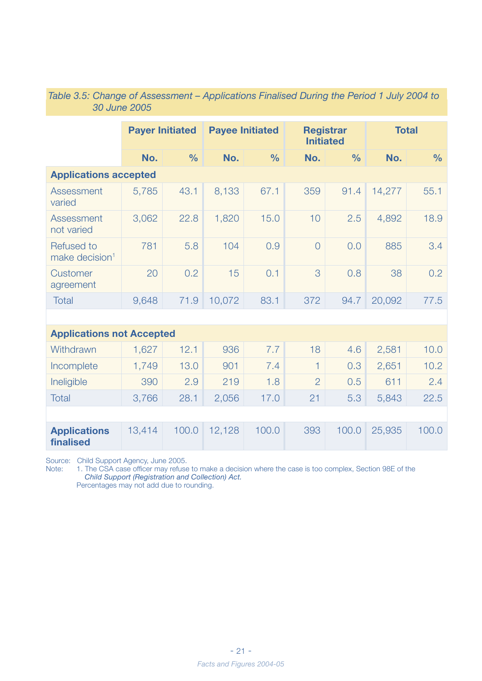|                                                 | <b>Payer Initiated</b> |               |        | <b>Payee Initiated</b> |                | <b>Registrar</b><br><b>Initiated</b> | <b>Total</b> |               |
|-------------------------------------------------|------------------------|---------------|--------|------------------------|----------------|--------------------------------------|--------------|---------------|
|                                                 | No.                    | $\frac{0}{0}$ | No.    | $\frac{0}{0}$          | No.            | $\frac{0}{0}$                        | No.          | $\frac{0}{0}$ |
| <b>Applications accepted</b>                    |                        |               |        |                        |                |                                      |              |               |
| Assessment<br>varied                            | 5,785                  | 43.1          | 8,133  | 67.1                   | 359            | 91.4                                 | 14,277       | 55.1          |
| Assessment<br>not varied                        | 3,062                  | 22.8          | 1,820  | 15.0                   | 10             | 2.5                                  | 4,892        | 18.9          |
| <b>Refused to</b><br>make decision <sup>1</sup> | 781                    | 5.8           | 104    | 0.9                    | $\overline{0}$ | 0,0                                  | 885          | 3.4           |
| <b>Customer</b><br>agreement                    | 20                     | 0.2           | 15     | 0.1                    | 3              | 0.8                                  | 38           | 0.2           |
| Total                                           | 9,648                  | 71.9          | 10,072 | 83.1                   | 372            | 94.7                                 | 20,092       | 77.5          |
|                                                 |                        |               |        |                        |                |                                      |              |               |
| <b>Applications not Accepted</b>                |                        |               |        |                        |                |                                      |              |               |
| Withdrawn                                       | 1,627                  | 12.1          | 936    | 7.7                    | 18             | 4.6                                  | 2,581        | 10.0          |
| Incomplete                                      | 1,749                  | 13.0          | 901    | 7.4                    | 1              | 0.3                                  | 2,651        | 10.2          |
| Ineligible                                      | 390                    | 2.9           | 219    | 1.8                    | $\overline{2}$ | 0.5                                  | 611          | 2.4           |
| <b>Total</b>                                    | 3,766                  | 28.1          | 2,056  | 17.0                   | 21             | 5.3                                  | 5,843        | 22.5          |
|                                                 |                        |               |        |                        |                |                                      |              |               |
| <b>Applications</b><br>finalised                | 13,414                 | 100.0         | 12,128 | 100.0                  | 393            | 100.0                                | 25,935       | 100,0         |

#### *Table 3.5: Change of Assessment – Applications Finalised During the Period 1 July 2004 to 30 June 2005*

Source: Child Support Agency, June 2005.

Note: 1. The CSA case officer may refuse to make a decision where the case is too complex, Section 98E of the *Child Support (Registration and Collection) Act.* Percentages may not add due to rounding.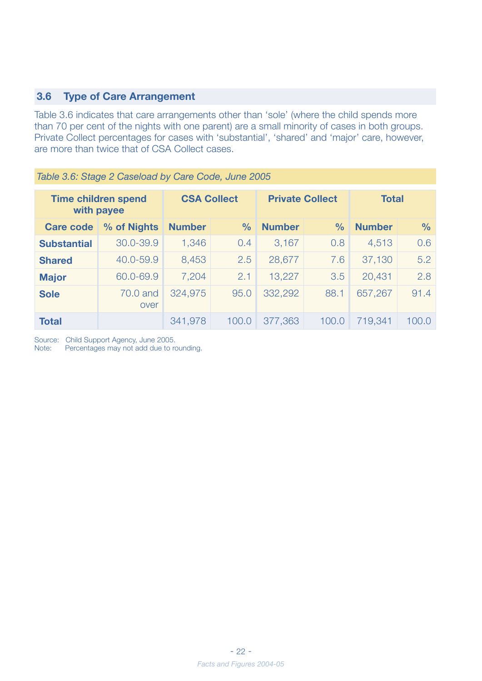#### **3.6 Type of Care Arrangement**

Table 3.6 indicates that care arrangements other than 'sole' (where the child spends more than 70 per cent of the nights with one parent) are a small minority of cases in both groups. Private Collect percentages for cases with 'substantial', 'shared' and 'major' care, however, are more than twice that of CSA Collect cases.

| <b>Time children spend</b><br>with payee |                  | <b>CSA Collect</b> |               | <b>Private Collect</b> |               | <b>Total</b>  |               |
|------------------------------------------|------------------|--------------------|---------------|------------------------|---------------|---------------|---------------|
| <b>Care code</b>                         | % of Nights      | <b>Number</b>      | $\frac{0}{0}$ | <b>Number</b>          | $\frac{0}{0}$ | <b>Number</b> | $\frac{0}{0}$ |
| <b>Substantial</b>                       | 30,0-39,9        | 1,346              | 0.4           | 3,167                  | 0.8           | 4,513         | 0.6           |
| <b>Shared</b>                            | 40.0-59.9        | 8,453              | 2.5           | 28,677                 | 7.6           | 37,130        | 5.2           |
| <b>Major</b>                             | 60.0-69.9        | 7,204              | 2.1           | 13,227                 | 3.5           | 20,431        | 2.8           |
| <b>Sole</b>                              | 70.0 and<br>over | 324,975            | 95.0          | 332,292                | 88.1          | 657,267       | 91.4          |
| <b>Total</b>                             |                  | 341,978            | 100.0         | 377,363                | 100.0         | 719,341       | 100.0         |

*Table 3.6: Stage 2 Caseload by Care Code, June 2005*

Source: Child Support Agency, June 2005.<br>Note: Percentages may not add due to re Percentages may not add due to rounding.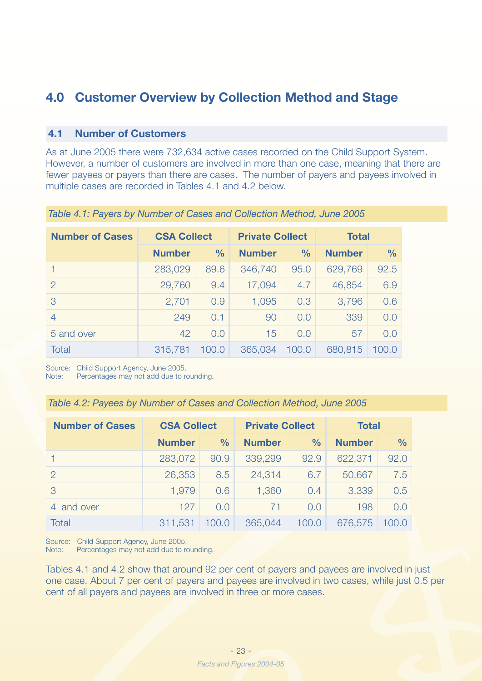## **4.0 Customer Overview by Collection Method and Stage**

#### **4.1 Number of Customers**

As at June 2005 there were 732,634 active cases recorded on the Child Support System. However, a number of customers are involved in more than one case, meaning that there are fewer payees or payers than there are cases. The number of payers and payees involved in multiple cases are recorded in Tables 4.1 and 4.2 below.

| <b>Number of Cases</b> | <b>CSA Collect</b> |               | <b>Private Collect</b> |               | <b>Total</b>  |               |  |
|------------------------|--------------------|---------------|------------------------|---------------|---------------|---------------|--|
|                        | <b>Number</b>      | $\frac{0}{0}$ | <b>Number</b>          | $\frac{0}{0}$ | <b>Number</b> | $\frac{0}{0}$ |  |
|                        | 283,029            | 89.6          | 346,740                | 95.0          | 629,769       | 92.5          |  |
| $\mathcal{P}$          | 29,760             | 9.4           | 17,094                 | 4.7           | 46,854        | 6.9           |  |
| 3                      | 2,701              | 0.9           | 1,095                  | 0,3           | 3,796         | 0.6           |  |
| $\overline{4}$         | 249                | 0.1           | 90                     | 0,0           | 339           | 0,0           |  |
| 5 and over             | 42                 | 0.0           | 15                     | 0,0           | 57            | 0,0           |  |
| Total                  | 315,781            | 100.0         | 365,034                | 100.0         | 680,815       | 100.0         |  |

*Table 4.1: Payers by Number of Cases and Collection Method, June 2005*

Source: Child Support Agency, June 2005.

Note: Percentages may not add due to rounding.

|  |  |  | Table 4.2: Payees by Number of Cases and Collection Method, June 2005 |  |
|--|--|--|-----------------------------------------------------------------------|--|
|--|--|--|-----------------------------------------------------------------------|--|

| <b>Number of Cases</b> | <b>CSA Collect</b> |               | <b>Private Collect</b> |               | <b>Total</b>  |               |  |
|------------------------|--------------------|---------------|------------------------|---------------|---------------|---------------|--|
|                        | <b>Number</b>      | $\frac{0}{0}$ | <b>Number</b>          | $\frac{0}{0}$ | <b>Number</b> | $\frac{0}{0}$ |  |
|                        | 283,072            | 90.9          | 339,299                | 92.9          | 622,371       | 92.0          |  |
| 2                      | 26,353             | 8.5           | 24,314                 | 6.7           | 50,667        | 7.5           |  |
| 3                      | 1,979              | 0.6           | 1,360                  | 0.4           | 3,339         | 0.5           |  |
| and over<br>4          | 127                | 0.0           | 71                     | 0.0           | 198           | 0.0           |  |
| Total                  | 311,531            | 100.0         | 365,044                | 100.0         | 676,575       | 100.0         |  |

Source: Child Support Agency, June 2005.

Note: Percentages may not add due to rounding.

Tables 4.1 and 4.2 show that around 92 per cent of payers and payees are involved in just one case. About 7 per cent of payers and payees are involved in two cases, while just 0.5 per cent of all payers and payees are involved in three or more cases.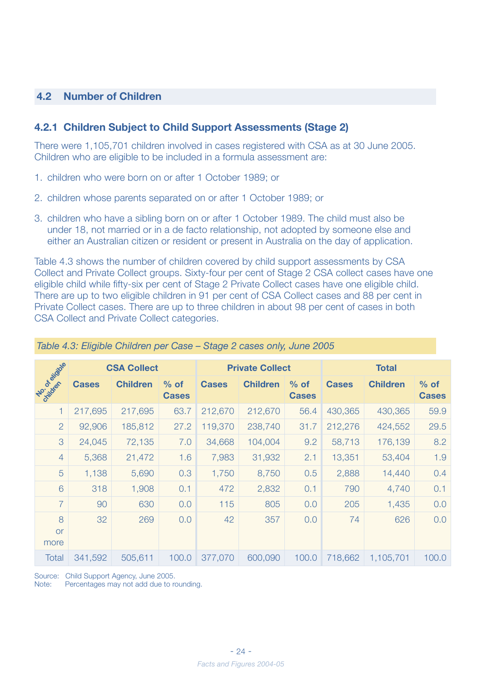#### **4.2 Number of Children**

#### **4.2.1 Children Subject to Child Support Assessments (Stage 2)**

There were 1,105,701 children involved in cases registered with CSA as at 30 June 2005. Children who are eligible to be included in a formula assessment are:

- 1. children who were born on or after 1 October 1989; or
- 2. children whose parents separated on or after 1 October 1989; or
- 3. children who have a sibling born on or after 1 October 1989. The child must also be under 18, not married or in a de facto relationship, not adopted by someone else and either an Australian citizen or resident or present in Australia on the day of application.

Table 4.3 shows the number of children covered by child support assessments by CSA Collect and Private Collect groups. Sixty-four per cent of Stage 2 CSA collect cases have one eligible child while fifty-six per cent of Stage 2 Private Collect cases have one eligible child. There are up to two eligible children in 91 per cent of CSA Collect cases and 88 per cent in Private Collect cases. There are up to three children in about 98 per cent of cases in both CSA Collect and Private Collect categories.

|                          |              | <b>CSA Collect</b> |                        | <b>Private Collect</b> |                 |                        | <b>Total</b> |                 |                        |
|--------------------------|--------------|--------------------|------------------------|------------------------|-----------------|------------------------|--------------|-----------------|------------------------|
| <b>Zoil de Maissille</b> | <b>Cases</b> | <b>Children</b>    | $%$ of<br><b>Cases</b> | <b>Cases</b>           | <b>Children</b> | $%$ of<br><b>Cases</b> | <b>Cases</b> | <b>Children</b> | $%$ of<br><b>Cases</b> |
| 1                        | 217,695      | 217,695            | 63.7                   | 212,670                | 212,670         | 56.4                   | 430,365      | 430,365         | 59.9                   |
| 2                        | 92,906       | 185,812            | 27.2                   | 119,370                | 238,740         | 31.7                   | 212,276      | 424,552         | 29.5                   |
| 3                        | 24,045       | 72,135             | 7.0                    | 34,668                 | 104,004         | 9.2                    | 58,713       | 176,139         | 8.2                    |
| $\overline{4}$           | 5,368        | 21,472             | 1.6                    | 7,983                  | 31,932          | 2.1                    | 13,351       | 53,404          | 1.9                    |
| 5                        | 1,138        | 5,690              | 0.3                    | 1,750                  | 8,750           | 0.5                    | 2,888        | 14,440          | 0.4                    |
| 6                        | 318          | 1,908              | 0.1                    | 472                    | 2,832           | 0.1                    | 790          | 4,740           | 0.1                    |
| $\overline{7}$           | 90           | 630                | 0.0                    | 115                    | 805             | 0.0                    | 205          | 1,435           | 0.0                    |
| 8<br><b>or</b><br>more   | 32           | 269                | 0.0                    | 42                     | 357             | 0.0                    | 74           | 626             | 0.0                    |
| <b>Total</b>             | 341,592      | 505,611            | 100.0                  | 377,070                | 600,090         | 100.0                  | 718,662      | 1,105,701       | 100.0                  |

#### *Table 4.3: Eligible Children per Case – Stage 2 cases only, June 2005*

Source: Child Support Agency, June 2005.

Note: Percentages may not add due to rounding.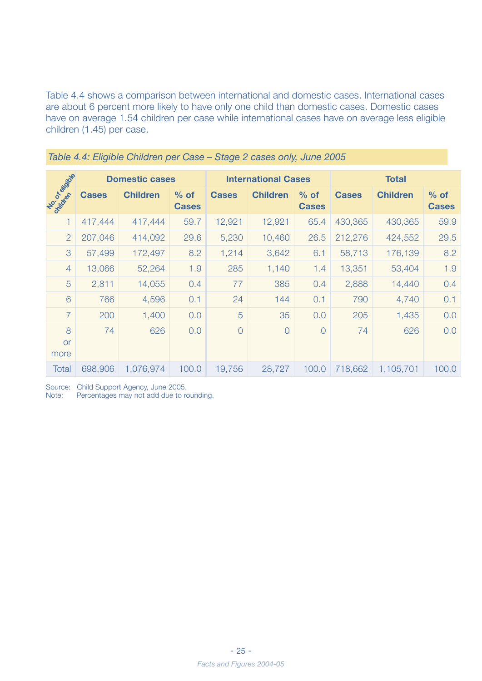Table 4.4 shows a comparison between international and domestic cases. International cases are about 6 percent more likely to have only one child than domestic cases. Domestic cases have on average 1.54 children per case while international cases have on average less eligible children (1.45) per case.

|                        |              | <b>Domestic cases</b> |                        | <b>International Cases</b> |                 |                        | <b>Total</b> |                 |                        |
|------------------------|--------------|-----------------------|------------------------|----------------------------|-----------------|------------------------|--------------|-----------------|------------------------|
| No. Or or dog          | <b>Cases</b> | <b>Children</b>       | $%$ of<br><b>Cases</b> | <b>Cases</b>               | <b>Children</b> | $%$ of<br><b>Cases</b> | <b>Cases</b> | <b>Children</b> | $%$ of<br><b>Cases</b> |
| 1                      | 417,444      | 417,444               | 59.7                   | 12,921                     | 12,921          | 65.4                   | 430,365      | 430,365         | 59.9                   |
| $\overline{2}$         | 207,046      | 414,092               | 29.6                   | 5,230                      | 10,460          | 26.5                   | 212,276      | 424,552         | 29.5                   |
| 3                      | 57,499       | 172,497               | 8.2                    | 1,214                      | 3,642           | 6.1                    | 58,713       | 176,139         | 8.2                    |
| $\overline{4}$         | 13,066       | 52,264                | 1.9                    | 285                        | 1,140           | 1.4                    | 13,351       | 53,404          | 1.9                    |
| 5                      | 2,811        | 14,055                | 0.4                    | 77                         | 385             | 0.4                    | 2,888        | 14,440          | 0.4                    |
| 6                      | 766          | 4,596                 | 0.1                    | 24                         | 144             | 0.1                    | 790          | 4,740           | 0.1                    |
| $\overline{7}$         | 200          | 1,400                 | 0.0                    | 5                          | 35              | 0.0                    | 205          | 1,435           | 0.0                    |
| 8<br><b>or</b><br>more | 74           | 626                   | 0.0                    | $\overline{0}$             | $\overline{O}$  | $\overline{O}$         | 74           | 626             | 0.0                    |
| <b>Total</b>           | 698,906      | 1,076,974             | 100.0                  | 19,756                     | 28,727          | 100.0                  | 718,662      | 1,105,701       | 100.0                  |

|  | Table 4.4: Eligible Children per Case - Stage 2 cases only, June 2005 |  |  |
|--|-----------------------------------------------------------------------|--|--|
|  |                                                                       |  |  |

Source: Child Support Agency, June 2005.

Note: Percentages may not add due to rounding.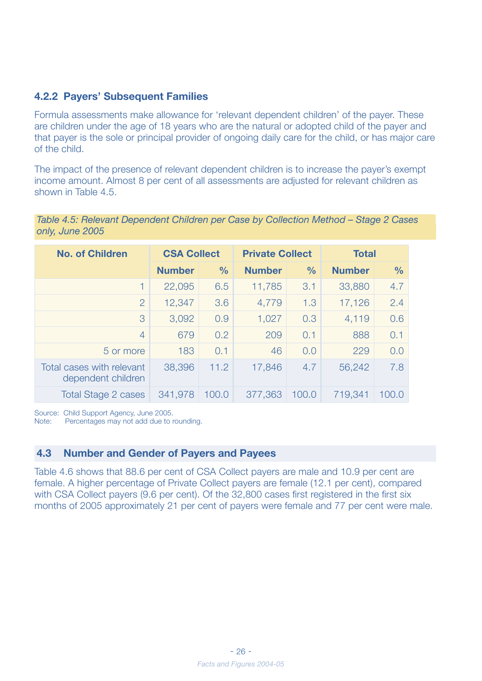#### **4.2.2 Payers' Subsequent Families**

Formula assessments make allowance for 'relevant dependent children' of the payer. These are children under the age of 18 years who are the natural or adopted child of the payer and that payer is the sole or principal provider of ongoing daily care for the child, or has major care of the child.

The impact of the presence of relevant dependent children is to increase the payer's exempt income amount. Almost 8 per cent of all assessments are adjusted for relevant children as shown in Table 4.5.

*Table 4.5: Relevant Dependent Children per Case by Collection Method – Stage 2 Cases only, June 2005*

| <b>No. of Children</b>                          | <b>CSA Collect</b> |               | <b>Private Collect</b> |               | <b>Total</b>  |               |
|-------------------------------------------------|--------------------|---------------|------------------------|---------------|---------------|---------------|
|                                                 | <b>Number</b>      | $\frac{0}{0}$ | <b>Number</b>          | $\frac{0}{0}$ | <b>Number</b> | $\frac{0}{0}$ |
| 1                                               | 22,095             | 6.5           | 11,785                 | 3.1           | 33,880        | 4.7           |
| $\overline{2}$                                  | 12,347             | 3.6           | 4,779                  | 1,3           | 17,126        | 2.4           |
| 3                                               | 3,092              | 0.9           | 1,027                  | 0.3           | 4,119         | 0.6           |
| $\overline{4}$                                  | 679                | 0.2           | 209                    | 0.1           | 888           | 0.1           |
| 5 or more                                       | 183                | 0.1           | 46                     | 0,0           | 229           | 0,0           |
| Total cases with relevant<br>dependent children | 38,396             | 11.2          | 17,846                 | 4.7           | 56,242        | 7.8           |
| <b>Total Stage 2 cases</b>                      | 341,978            | 100.0         | 377,363                | 100.0         | 719,341       | 100.0         |

Source: Child Support Agency, June 2005.

Note: Percentages may not add due to rounding.

#### **4.3 Number and Gender of Payers and Payees**

Table 4.6 shows that 88.6 per cent of CSA Collect payers are male and 10.9 per cent are female. A higher percentage of Private Collect payers are female (12.1 per cent), compared with CSA Collect payers (9.6 per cent). Of the 32,800 cases first registered in the first six months of 2005 approximately 21 per cent of payers were female and 77 per cent were male.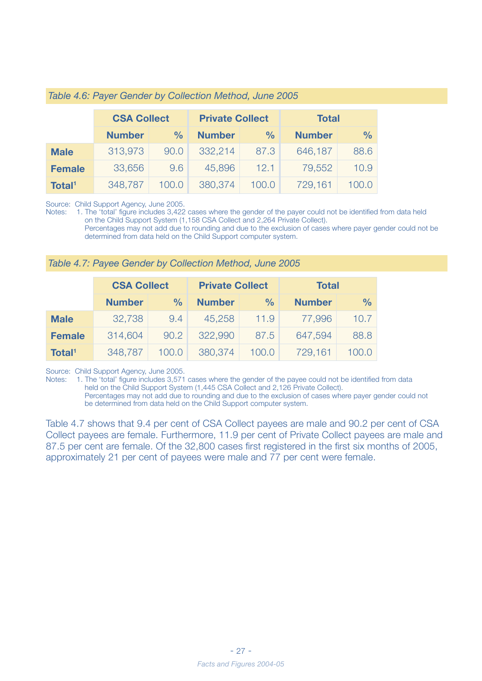|                    | <b>CSA Collect</b> |               | <b>Private Collect</b> |               | <b>Total</b>  |               |  |
|--------------------|--------------------|---------------|------------------------|---------------|---------------|---------------|--|
|                    | <b>Number</b>      | $\frac{0}{0}$ | <b>Number</b>          | $\frac{0}{0}$ | <b>Number</b> | $\frac{0}{0}$ |  |
| <b>Male</b>        | 313,973            | 90.0          | 332,214                | 87.3          | 646,187       | 88.6          |  |
| <b>Female</b>      | 33,656             | 9.6           | 45,896                 | 12.1          | 79,552        | 10.9          |  |
| Total <sup>1</sup> | 348,787            | 100.0         | 380,374                | 100.0         | 729,161       | 100.0         |  |

Source: Child Support Agency, June 2005.

Notes: 1. The 'total' figure includes 3,422 cases where the gender of the payer could not be identified from data held on the Child Support System (1,158 CSA Collect and 2,264 Private Collect). Percentages may not add due to rounding and due to the exclusion of cases where payer gender could not be determined from data held on the Child Support computer system.

| Table 4.7: Payee Gender by Collection Method, June 2005 |  |  |  |
|---------------------------------------------------------|--|--|--|
|---------------------------------------------------------|--|--|--|

|                    | <b>CSA Collect</b> |               | <b>Private Collect</b> |               | <b>Total</b>  |               |  |
|--------------------|--------------------|---------------|------------------------|---------------|---------------|---------------|--|
|                    | <b>Number</b>      | $\frac{0}{0}$ | <b>Number</b>          | $\frac{0}{0}$ | <b>Number</b> | $\frac{0}{0}$ |  |
| <b>Male</b>        | 32,738             | 9.4           | 45,258                 | 11.9          | 77,996        | 10.7          |  |
| <b>Female</b>      | 314,604            | 90.2          | 322,990                | 87.5          | 647,594       | 88.8          |  |
| Total <sup>1</sup> | 348,787            | 100.0         | 380,374                | 100.0         | 729,161       | 100.0         |  |

Source: Child Support Agency, June 2005.

Notes: 1. The 'total' figure includes 3,571 cases where the gender of the payee could not be identified from data held on the Child Support System (1,445 CSA Collect and 2,126 Private Collect).

 Percentages may not add due to rounding and due to the exclusion of cases where payer gender could not be determined from data held on the Child Support computer system.

Table 4.7 shows that 9.4 per cent of CSA Collect payees are male and 90.2 per cent of CSA Collect payees are female. Furthermore, 11.9 per cent of Private Collect payees are male and 87.5 per cent are female. Of the 32,800 cases first registered in the first six months of 2005, approximately 21 per cent of payees were male and 77 per cent were female.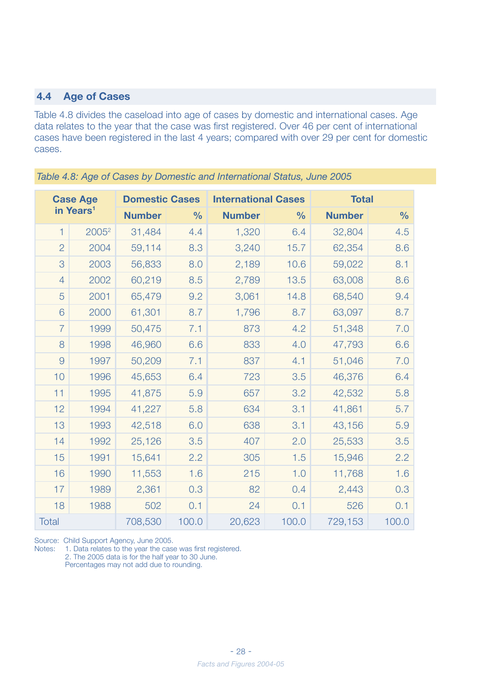#### **4.4 Age of Cases**

Table 4.8 divides the caseload into age of cases by domestic and international cases. Age data relates to the year that the case was first registered. Over 46 per cent of international cases have been registered in the last 4 years; compared with over 29 per cent for domestic cases.

| <b>Case Age</b> |                       | <b>Domestic Cases</b> |               | <b>International Cases</b> |               | <b>Total</b>  |               |
|-----------------|-----------------------|-----------------------|---------------|----------------------------|---------------|---------------|---------------|
|                 | in Years <sup>1</sup> | <b>Number</b>         | $\frac{0}{0}$ | <b>Number</b>              | $\frac{0}{0}$ | <b>Number</b> | $\frac{0}{0}$ |
| $\mathbf 1$     | 2005 <sup>2</sup>     | 31,484                | 4.4           | 1,320                      | 6.4           | 32,804        | 4.5           |
| $\overline{2}$  | 2004                  | 59,114                | 8.3           | 3,240                      | 15.7          | 62,354        | 8.6           |
| 3               | 2003                  | 56,833                | 8.0           | 2,189                      | 10.6          | 59,022        | 8.1           |
| $\overline{4}$  | 2002                  | 60,219                | 8.5           | 2,789                      | 13.5          | 63,008        | 8.6           |
| 5               | 2001                  | 65,479                | 9.2           | 3,061                      | 14.8          | 68,540        | 9.4           |
| 6               | 2000                  | 61,301                | 8.7           | 1,796                      | 8.7           | 63,097        | 8.7           |
| $\overline{7}$  | 1999                  | 50,475                | 7.1           | 873                        | 4.2           | 51,348        | 7.0           |
| 8               | 1998                  | 46,960                | 6.6           | 833                        | 4.0           | 47,793        | 6.6           |
| 9               | 1997                  | 50,209                | 7.1           | 837                        | 4.1           | 51,046        | 7.0           |
| 10              | 1996                  | 45,653                | 6.4           | 723                        | 3.5           | 46,376        | 6.4           |
| 11              | 1995                  | 41,875                | 5.9           | 657                        | 3.2           | 42,532        | 5.8           |
| 12              | 1994                  | 41,227                | 5.8           | 634                        | 3.1           | 41,861        | 5.7           |
| 13              | 1993                  | 42,518                | 6.0           | 638                        | 3.1           | 43,156        | 5.9           |
| 14              | 1992                  | 25,126                | 3.5           | 407                        | 2.0           | 25,533        | 3.5           |
| 15              | 1991                  | 15,641                | 2.2           | 305                        | 1.5           | 15,946        | 2.2           |
| 16              | 1990                  | 11,553                | 1.6           | 215                        | 1.0           | 11,768        | 1.6           |
| 17              | 1989                  | 2,361                 | 0.3           | 82                         | 0.4           | 2,443         | 0.3           |
| 18              | 1988                  | 502                   | 0.1           | 24                         | 0.1           | 526           | 0.1           |
| <b>Total</b>    |                       | 708,530               | 100.0         | 20,623                     | 100.0         | 729,153       | 100.0         |

*Table 4.8: Age of Cases by Domestic and International Status, June 2005*

Source: Child Support Agency, June 2005.

Notes: 1. Data relates to the year the case was first registered.

2. The 2005 data is for the half year to 30 June.

Percentages may not add due to rounding.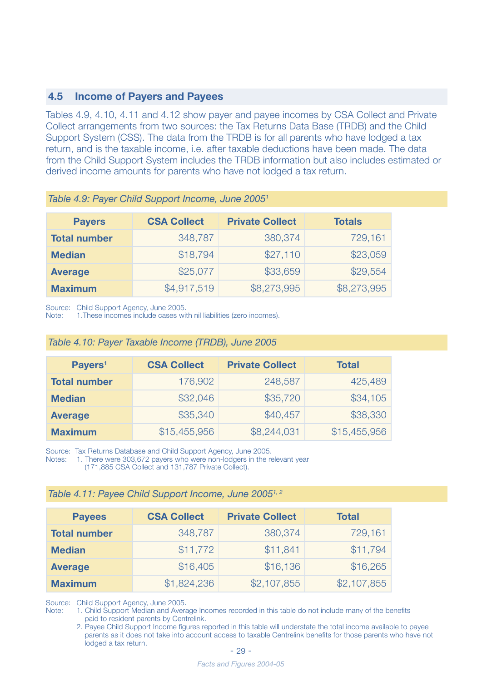#### **4.5 Income of Payers and Payees**

Tables 4.9, 4.10, 4.11 and 4.12 show payer and payee incomes by CSA Collect and Private Collect arrangements from two sources: the Tax Returns Data Base (TRDB) and the Child Support System (CSS). The data from the TRDB is for all parents who have lodged a tax return, and is the taxable income, i.e. after taxable deductions have been made. The data from the Child Support System includes the TRDB information but also includes estimated or derived income amounts for parents who have not lodged a tax return.

| <b>Payers</b>       | <b>CSA Collect</b> | <b>Private Collect</b> | <b>Totals</b> |
|---------------------|--------------------|------------------------|---------------|
| <b>Total number</b> | 348,787            | 380,374                | 729,161       |
| <b>Median</b>       | \$18,794           | \$27,110               | \$23,059      |
| <b>Average</b>      | \$25,077           | \$33,659               | \$29,554      |
| <b>Maximum</b>      | \$4,917,519        | \$8,273,995            | \$8,273,995   |

*Table 4.9: Payer Child Support Income, June 20051* 

Source: Child Support Agency, June 2005.

Note: 1.These incomes include cases with nil liabilities (zero incomes).

| Table 4.10: Payer Taxable Income (TRDB), June 2005 |  |  |
|----------------------------------------------------|--|--|
|----------------------------------------------------|--|--|

| Payers <sup>1</sup> | <b>CSA Collect</b> | <b>Private Collect</b> | <b>Total</b> |
|---------------------|--------------------|------------------------|--------------|
| <b>Total number</b> | 176,902            | 248,587                | 425,489      |
| <b>Median</b>       | \$32,046           | \$35,720               | \$34,105     |
| <b>Average</b>      | \$35,340           | \$40,457               | \$38,330     |
| <b>Maximum</b>      | \$15,455,956       | \$8,244,031            | \$15,455,956 |

Source: Tax Returns Database and Child Support Agency, June 2005.<br>Notes: 1. There were 303.672 payers who were non-lodgers in the re-

1. There were 303,672 payers who were non-lodgers in the relevant year

(171,885 CSA Collect and 131,787 Private Collect).

| <b>Payees</b>       | <b>CSA Collect</b> | <b>Private Collect</b> | <b>Total</b> |
|---------------------|--------------------|------------------------|--------------|
| <b>Total number</b> | 348,787            | 380,374                | 729,161      |
| <b>Median</b>       | \$11,772           | \$11,841               | \$11,794     |
| <b>Average</b>      | \$16,405           | \$16,136               | \$16,265     |
| <b>Maximum</b>      | \$1,824,236        | \$2,107,855            | \$2,107,855  |

Source: Child Support Agency, June 2005.

Note: 1. Child Support Median and Average Incomes recorded in this table do not include many of the benefits paid to resident parents by Centrelink.

 2. Payee Child Support Income figures reported in this table will understate the total income available to payee parents as it does not take into account access to taxable Centrelink benefits for those parents who have not lodged a tax return.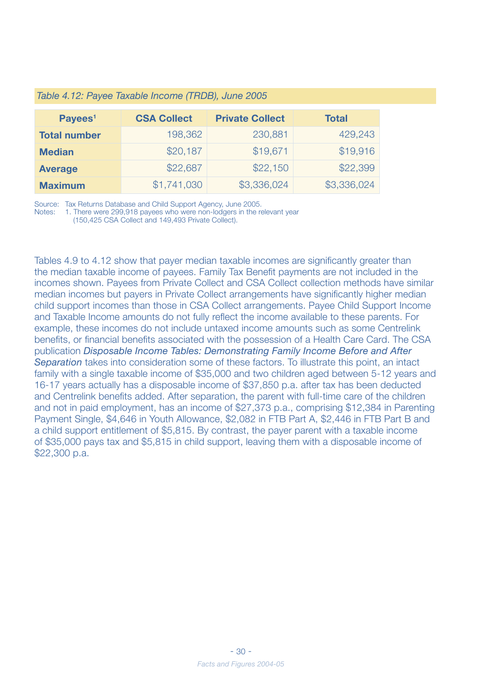| Payees <sup>1</sup> | <b>CSA Collect</b> | <b>Private Collect</b> | <b>Total</b> |
|---------------------|--------------------|------------------------|--------------|
| <b>Total number</b> | 198,362            | 230,881                | 429,243      |
| <b>Median</b>       | \$20,187           | \$19,671               | \$19,916     |
| <b>Average</b>      | \$22,687           | \$22,150               | \$22,399     |
| <b>Maximum</b>      | \$1,741,030        | \$3,336,024            | \$3,336,024  |

#### *Table 4.12: Payee Taxable Income (TRDB), June 2005*

Source: Tax Returns Database and Child Support Agency, June 2005.

Notes: 1. There were 299,918 payees who were non-lodgers in the relevant year (150,425 CSA Collect and 149,493 Private Collect).

Tables 4.9 to 4.12 show that payer median taxable incomes are significantly greater than the median taxable income of payees. Family Tax Benefit payments are not included in the incomes shown. Payees from Private Collect and CSA Collect collection methods have similar median incomes but payers in Private Collect arrangements have significantly higher median child support incomes than those in CSA Collect arrangements. Payee Child Support Income and Taxable Income amounts do not fully reflect the income available to these parents. For example, these incomes do not include untaxed income amounts such as some Centrelink benefits, or financial benefits associated with the possession of a Health Care Card. The CSA publication *Disposable Income Tables: Demonstrating Family Income Before and After Separation* takes into consideration some of these factors. To illustrate this point, an intact family with a single taxable income of \$35,000 and two children aged between 5-12 years and 16-17 years actually has a disposable income of \$37,850 p.a. after tax has been deducted and Centrelink benefits added. After separation, the parent with full-time care of the children and not in paid employment, has an income of \$27,373 p.a., comprising \$12,384 in Parenting Payment Single, \$4,646 in Youth Allowance, \$2,082 in FTB Part A, \$2,446 in FTB Part B and a child support entitlement of \$5,815. By contrast, the payer parent with a taxable income of \$35,000 pays tax and \$5,815 in child support, leaving them with a disposable income of \$22,300 p.a.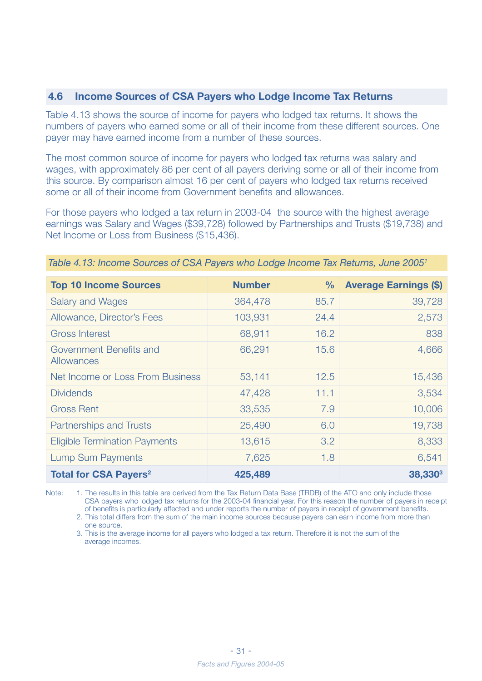#### **4.6 Income Sources of CSA Payers who Lodge Income Tax Returns**

Table 4.13 shows the source of income for payers who lodged tax returns. It shows the numbers of payers who earned some or all of their income from these different sources. One payer may have earned income from a number of these sources.

The most common source of income for payers who lodged tax returns was salary and wages, with approximately 86 per cent of all payers deriving some or all of their income from this source. By comparison almost 16 per cent of payers who lodged tax returns received some or all of their income from Government benefits and allowances.

For those payers who lodged a tax return in 2003-04 the source with the highest average earnings was Salary and Wages (\$39,728) followed by Partnerships and Trusts (\$19,738) and Net Income or Loss from Business (\$15,436).

| <b>Top 10 Income Sources</b>            | <b>Number</b> | $\%$ | <b>Average Earnings (\$)</b> |
|-----------------------------------------|---------------|------|------------------------------|
| <b>Salary and Wages</b>                 | 364,478       | 85.7 | 39,728                       |
| Allowance, Director's Fees              | 103,931       | 24.4 | 2,573                        |
| <b>Gross Interest</b>                   | 68,911        | 16.2 | 838                          |
| Government Benefits and<br>Allowances   | 66,291        | 15.6 | 4,666                        |
| Net Income or Loss From Business        | 53,141        | 12.5 | 15,436                       |
| <b>Dividends</b>                        | 47,428        | 11.1 | 3,534                        |
| <b>Gross Rent</b>                       | 33,535        | 7.9  | 10,006                       |
| <b>Partnerships and Trusts</b>          | 25,490        | 6.0  | 19,738                       |
| <b>Eligible Termination Payments</b>    | 13,615        | 3.2  | 8,333                        |
| <b>Lump Sum Payments</b>                | 7,625         | 1.8  | 6,541                        |
| <b>Total for CSA Payers<sup>2</sup></b> | 425,489       |      | <b>38,330<sup>3</sup></b>    |

*Table 4.13: Income Sources of CSA Payers who Lodge Income Tax Returns, June 20051*

Note: 1. The results in this table are derived from the Tax Return Data Base (TRDB) of the ATO and only include those CSA payers who lodged tax returns for the 2003-04 financial year. For this reason the number of payers in receipt of benefits is particularly affected and under reports the number of payers in receipt of government benefits.

 2. This total differs from the sum of the main income sources because payers can earn income from more than one source.

 3. This is the average income for all payers who lodged a tax return. Therefore it is not the sum of the average incomes.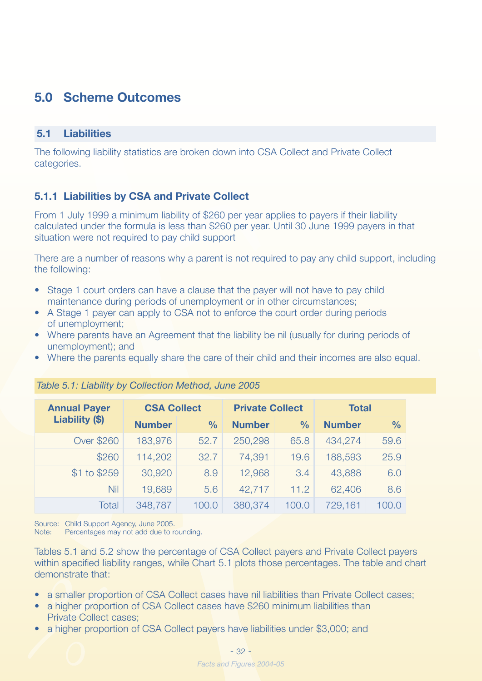## **5.0 Scheme Outcomes**

#### **5.1 Liabilities**

The following liability statistics are broken down into CSA Collect and Private Collect categories.

#### **5.1.1 Liabilities by CSA and Private Collect**

From 1 July 1999 a minimum liability of \$260 per year applies to payers if their liability calculated under the formula is less than \$260 per year. Until 30 June 1999 payers in that situation were not required to pay child support

There are a number of reasons why a parent is not required to pay any child support, including the following:

- Stage 1 court orders can have a clause that the payer will not have to pay child maintenance during periods of unemployment or in other circumstances;
- A Stage 1 payer can apply to CSA not to enforce the court order during periods of unemployment;
- Where parents have an Agreement that the liability be nil (usually for during periods of unemployment); and
- Where the parents equally share the care of their child and their incomes are also equal.

| <b>Annual Payer</b> | <b>CSA Collect</b> |               | <b>Private Collect</b> |               | <b>Total</b>  |               |
|---------------------|--------------------|---------------|------------------------|---------------|---------------|---------------|
| Liability (\$)      | <b>Number</b>      | $\frac{0}{0}$ | <b>Number</b>          | $\frac{0}{0}$ | <b>Number</b> | $\frac{0}{0}$ |
| <b>Over \$260</b>   | 183,976            | 52.7          | 250,298                | 65.8          | 434,274       | 59.6          |
| \$260               | 114,202            | 32.7          | 74,391                 | 19.6          | 188,593       | 25.9          |
| \$1 to \$259        | 30,920             | 8.9           | 12,968                 | 3.4           | 43,888        | 6,0           |
| Nil                 | 19,689             | 5.6           | 42,717                 | 11.2          | 62,406        | 8,6           |
| Total               | 348,787            | 100.0         | 380,374                | 100.0         | 729,161       | 100.0         |

#### *Table 5.1: Liability by Collection Method, June 2005*

Source: Child Support Agency, June 2005.

Note: Percentages may not add due to rounding.

Tables 5.1 and 5.2 show the percentage of CSA Collect payers and Private Collect payers within specified liability ranges, while Chart 5.1 plots those percentages. The table and chart demonstrate that:

- a smaller proportion of CSA Collect cases have nil liabilities than Private Collect cases;
- a higher proportion of CSA Collect cases have \$260 minimum liabilities than Private Collect cases;
- a higher proportion of CSA Collect payers have liabilities under \$3,000; and

![](_page_30_Figure_18.jpeg)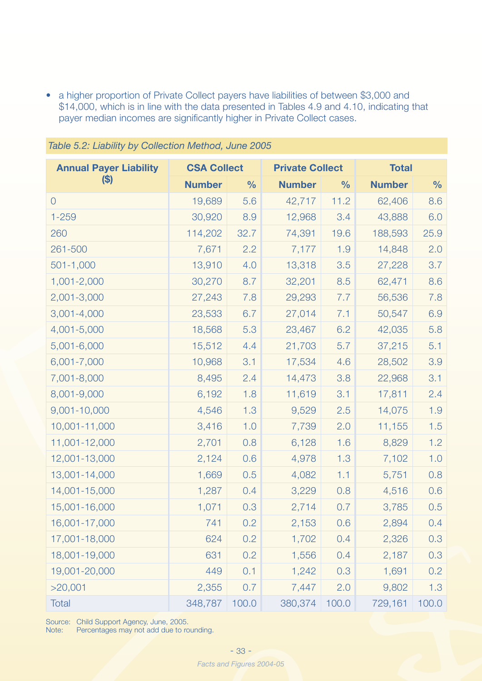• a higher proportion of Private Collect payers have liabilities of between \$3,000 and \$14,000, which is in line with the data presented in Tables 4.9 and 4.10, indicating that payer median incomes are significantly higher in Private Collect cases.

| <b>Annual Payer Liability</b> | <b>CSA Collect</b> |               | <b>Private Collect</b> |               | <b>Total</b>  |               |
|-------------------------------|--------------------|---------------|------------------------|---------------|---------------|---------------|
| $\left( \mathbb{S}\right)$    | <b>Number</b>      | $\frac{0}{0}$ | <b>Number</b>          | $\frac{0}{0}$ | <b>Number</b> | $\frac{0}{0}$ |
| $\overline{O}$                | 19,689             | 5.6           | 42,717                 | 11.2          | 62,406        | 8.6           |
| $1 - 259$                     | 30,920             | 8.9           | 12,968                 | 3.4           | 43,888        | 6.0           |
| 260                           | 114,202            | 32.7          | 74,391                 | 19.6          | 188,593       | 25.9          |
| 261-500                       | 7,671              | 2.2           | 7,177                  | 1.9           | 14,848        | 2.0           |
| $501 - 1,000$                 | 13,910             | 4.0           | 13,318                 | 3.5           | 27,228        | 3.7           |
| 1,001-2,000                   | 30,270             | 8.7           | 32,201                 | 8.5           | 62,471        | 8.6           |
| 2,001-3,000                   | 27,243             | 7.8           | 29,293                 | 7.7           | 56,536        | 7.8           |
| $3,001 - 4,000$               | 23,533             | 6.7           | 27,014                 | 7.1           | 50,547        | 6.9           |
| 4,001-5,000                   | 18,568             | 5.3           | 23,467                 | 6.2           | 42,035        | 5.8           |
| 5,001-6,000                   | 15,512             | 4.4           | 21,703                 | 5.7           | 37,215        | 5.1           |
| 6,001-7,000                   | 10,968             | 3.1           | 17,534                 | 4.6           | 28,502        | 3.9           |
| 7,001-8,000                   | 8,495              | 2.4           | 14,473                 | 3.8           | 22,968        | 3.1           |
| 8,001-9,000                   | 6,192              | 1.8           | 11,619                 | 3.1           | 17,811        | 2.4           |
| 9,001-10,000                  | 4,546              | 1.3           | 9,529                  | 2.5           | 14,075        | 1.9           |
| 10,001-11,000                 | 3,416              | 1.0           | 7,739                  | 2.0           | 11,155        | 1.5           |
| 11,001-12,000                 | 2,701              | 0.8           | 6,128                  | 1.6           | 8,829         | 1.2           |
| 12,001-13,000                 | 2,124              | 0.6           | 4,978                  | 1.3           | 7,102         | 1.0           |
| 13,001-14,000                 | 1,669              | 0.5           | 4,082                  | 1.1           | 5,751         | 0.8           |
| 14,001-15,000                 | 1,287              | 0.4           | 3,229                  | 0.8           | 4,516         | 0.6           |
| 15,001-16,000                 | 1,071              | 0.3           | 2,714                  | 0.7           | 3,785         | 0.5           |
| 16,001-17,000                 | 741                | 0.2           | 2,153                  | 0.6           | 2,894         | 0.4           |
| 17,001-18,000                 | 624                | 0.2           | 1,702                  | 0.4           | 2,326         | 0.3           |
| 18,001-19,000                 | 631                | 0.2           | 1,556                  | 0.4           | 2,187         | 0.3           |
| 19,001-20,000                 | 449                | 0.1           | 1,242                  | 0.3           | 1,691         | 0.2           |
| >20,001                       | 2,355              | 0.7           | 7,447                  | 2.0           | 9,802         | 1.3           |
| <b>Total</b>                  | 348,787            | 100.0         | 380,374                | 100.0         | 729,161       | 100.0         |

*Table 5.2: Liability by Collection Method, June 2005*

Source: Child Support Agency, June, 2005.

Note: Percentages may not add due to rounding.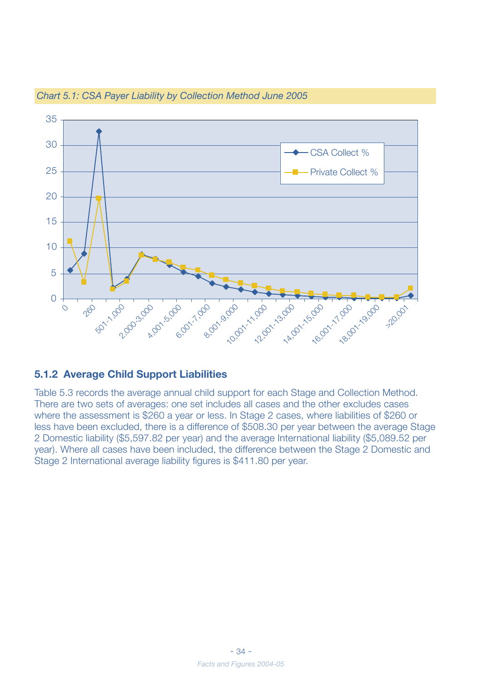![](_page_32_Figure_0.jpeg)

#### *Chart 5.1: CSA Payer Liability by Collection Method June 2005*

#### **5.1.2 Average Child Support Liabilities**

Table 5.3 records the average annual child support for each Stage and Collection Method. There are two sets of averages: one set includes all cases and the other excludes cases where the assessment is \$260 a year or less. In Stage 2 cases, where liabilities of \$260 or less have been excluded, there is a difference of \$508.30 per year between the average Stage 2 Domestic liability (\$5,597.82 per year) and the average International liability (\$5,089.52 per year). Where all cases have been included, the difference between the Stage 2 Domestic and Stage 2 International average liability figures is \$411.80 per year.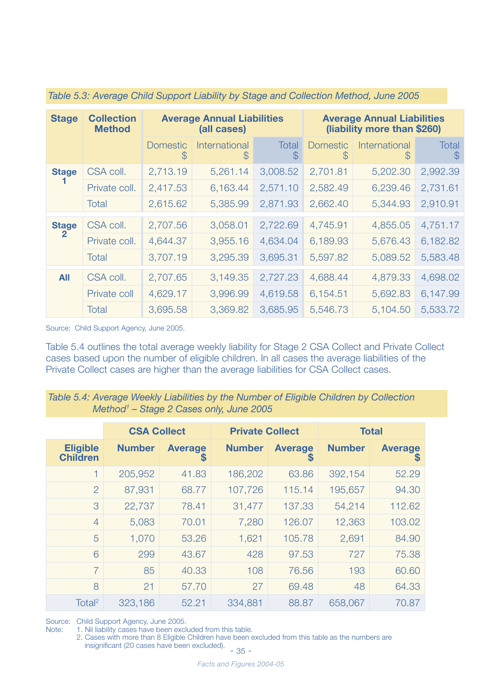| <b>Stage</b> | <b>Collection</b><br><b>Method</b> |                      | <b>Average Annual Liabilities</b><br>(all cases) |                               | <b>Average Annual Liabilities</b><br>(liability more than \$260) |                              |                        |
|--------------|------------------------------------|----------------------|--------------------------------------------------|-------------------------------|------------------------------------------------------------------|------------------------------|------------------------|
|              |                                    | <b>Domestic</b><br>S | International<br>$\mathcal{S}$                   | <b>Total</b><br>$\mathcal{S}$ | <b>Domestic</b><br>S                                             | International<br>$\mathbb S$ | Total<br>$\mathcal{S}$ |
| <b>Stage</b> | CSA coll.                          | 2,713.19             | 5,261.14                                         | 3,008.52                      | 2,701.81                                                         | 5,202.30                     | 2,992.39               |
|              | Private coll.                      | 2,417.53             | 6,163.44                                         | 2,571.10                      | 2,582.49                                                         | 6,239.46                     | 2,731.61               |
|              | Total                              | 2,615.62             | 5,385.99                                         | 2,871.93                      | 2,662.40                                                         | 5,344.93                     | 2,910.91               |
| <b>Stage</b> | CSA coll.                          | 2,707.56             | 3,058.01                                         | 2,722.69                      | 4,745.91                                                         | 4,855.05                     | 4,751.17               |
| $\mathbf{2}$ | Private coll.                      | 4,644.37             | 3,955.16                                         | 4,634.04                      | 6,189.93                                                         | 5,676.43                     | 6,182.82               |
|              | Total                              | 3,707.19             | 3,295.39                                         | 3,695.31                      | 5,597.82                                                         | 5,089.52                     | 5,583.48               |
| <b>All</b>   | CSA coll.                          | 2,707.65             | 3,149.35                                         | 2,727.23                      | 4,688.44                                                         | 4,879.33                     | 4,698.02               |
|              | Private coll                       | 4,629.17             | 3,996.99                                         | 4,619.58                      | 6,154.51                                                         | 5,692.83                     | 6,147.99               |
|              | Total                              | 3,695.58             | 3,369.82                                         | 3,685.95                      | 5,546.73                                                         | 5,104.50                     | 5,533.72               |

#### *Table 5.3: Average Child Support Liability by Stage and Collection Method, June 2005*

Source: Child Support Agency, June 2005.

Table 5.4 outlines the total average weekly liability for Stage 2 CSA Collect and Private Collect cases based upon the number of eligible children. In all cases the average liabilities of the Private Collect cases are higher than the average liabilities for CSA Collect cases.

| Table 5.4: Average Weekly Liabilities by the Number of Eligible Children by Collection |  |
|----------------------------------------------------------------------------------------|--|
| Method <sup>1</sup> – Stage 2 Cases only, June 2005                                    |  |

|                                    | <b>CSA Collect</b> |                     | <b>Private Collect</b> |                     |               | <b>Total</b>        |
|------------------------------------|--------------------|---------------------|------------------------|---------------------|---------------|---------------------|
| <b>Eligible</b><br><b>Children</b> | <b>Number</b>      | <b>Average</b><br>S | <b>Number</b>          | <b>Average</b><br>S | <b>Number</b> | <b>Average</b><br>S |
|                                    | 205,952            | 41.83               | 186,202                | 63.86               | 392,154       | 52.29               |
| $\overline{2}$                     | 87,931             | 68,77               | 107,726                | 115.14              | 195,657       | 94.30               |
| 3                                  | 22,737             | 78.41               | 31,477                 | 137.33              | 54,214        | 112.62              |
| $\overline{4}$                     | 5,083              | 70.01               | 7,280                  | 126.07              | 12,363        | 103.02              |
| 5                                  | 1,070              | 53.26               | 1,621                  | 105.78              | 2,691         | 84.90               |
| 6                                  | 299                | 43.67               | 428                    | 97.53               | 727           | 75,38               |
| $\overline{7}$                     | 85                 | 40.33               | 108                    | 76.56               | 193           | 60,60               |
| 8                                  | 21                 | 57.70               | 27                     | 69.48               | 48            | 64.33               |
| Total <sup>2</sup>                 | 323,186            | 52.21               | 334,881                | 88.87               | 658,067       | 70.87               |

Source: Child Support Agency, June 2005.<br>Note: 1. Nil liability cases have been excl

1. Nil liability cases have been excluded from this table.

 2. Cases with more than 8 Eligible Children have been excluded from this table as the numbers are Gases with more than o Lignon Stimster.......<br>insignificant (20 cases have been excluded).<br>- 35 -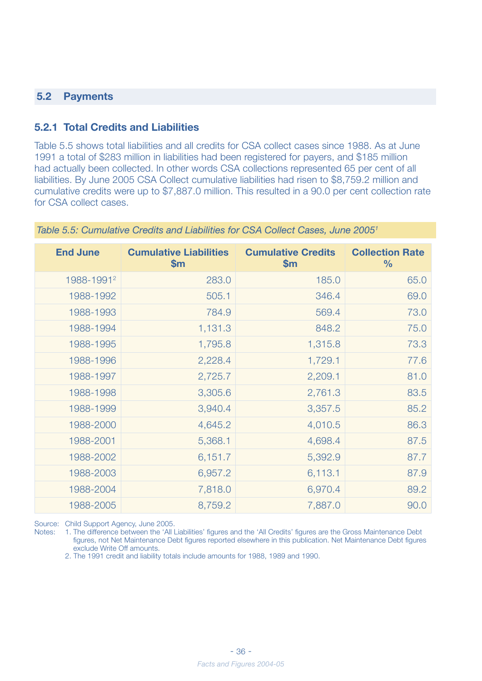#### **5.2 Payments**

#### **5.2.1 Total Credits and Liabilities**

Table 5.5 shows total liabilities and all credits for CSA collect cases since 1988. As at June 1991 a total of \$283 million in liabilities had been registered for payers, and \$185 million had actually been collected. In other words CSA collections represented 65 per cent of all liabilities. By June 2005 CSA Collect cumulative liabilities had risen to \$8,759.2 million and cumulative credits were up to \$7,887.0 million. This resulted in a 90.0 per cent collection rate for CSA collect cases.

| <b>End June</b>        | <b>Cumulative Liabilities</b><br>\$m\$ | <b>Cumulative Credits</b><br>\$m\$ | <b>Collection Rate</b><br>$\frac{9}{6}$ |
|------------------------|----------------------------------------|------------------------------------|-----------------------------------------|
| 1988-1991 <sup>2</sup> | 283.0                                  | 185.0                              | 65.0                                    |
| 1988-1992              | 505.1                                  | 346.4                              | 69.0                                    |
| 1988-1993              | 784.9                                  | 569.4                              | 73.0                                    |
| 1988-1994              | 1,131.3                                | 848.2                              | 75.0                                    |
| 1988-1995              | 1,795.8                                | 1,315.8                            | 73.3                                    |
| 1988-1996              | 2,228.4                                | 1,729.1                            | 77.6                                    |
| 1988-1997              | 2,725.7                                | 2,209.1                            | 81.0                                    |
| 1988-1998              | 3,305.6                                | 2,761.3                            | 83.5                                    |
| 1988-1999              | 3,940.4                                | 3,357.5                            | 85.2                                    |
| 1988-2000              | 4,645.2                                | 4,010.5                            | 86.3                                    |
| 1988-2001              | 5,368.1                                | 4,698.4                            | 87.5                                    |
| 1988-2002              | 6,151.7                                | 5,392.9                            | 87.7                                    |
| 1988-2003              | 6,957.2                                | 6,113.1                            | 87.9                                    |
| 1988-2004              | 7,818.0                                | 6,970.4                            | 89.2                                    |
| 1988-2005              | 8,759.2                                | 7,887.0                            | 90.0                                    |

*Table 5.5: Cumulative Credits and Liabilities for CSA Collect Cases, June 20051*

Source: Child Support Agency, June 2005.

Notes: 1. The difference between the 'All Liabilities' figures and the 'All Credits' figures are the Gross Maintenance Debt figures, not Net Maintenance Debt figures reported elsewhere in this publication. Net Maintenance Debt figures exclude Write Off amounts.

2. The 1991 credit and liability totals include amounts for 1988, 1989 and 1990.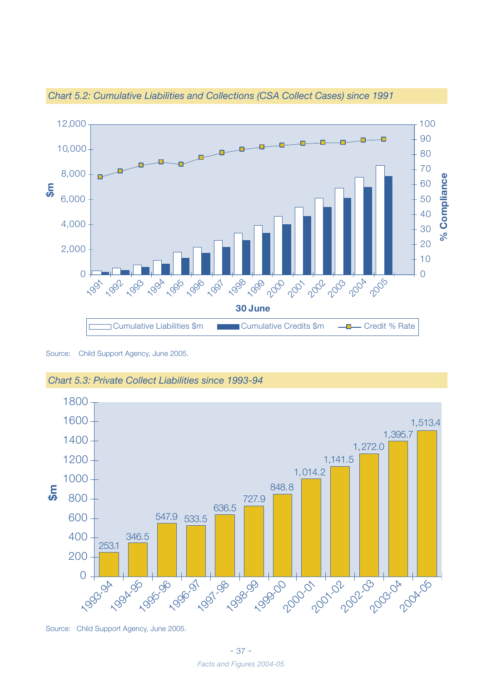![](_page_35_Figure_0.jpeg)

*Chart 5.2: Cumulative Liabilities and Collections (CSA Collect Cases) since 1991*

Source: Child Support Agency, June 2005.

![](_page_35_Figure_3.jpeg)

![](_page_35_Figure_4.jpeg)

Source: Child Support Agency, June 2005.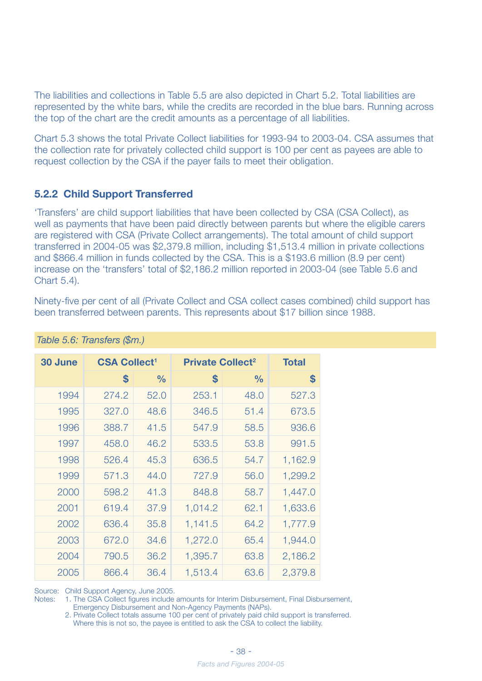The liabilities and collections in Table 5.5 are also depicted in Chart 5.2. Total liabilities are represented by the white bars, while the credits are recorded in the blue bars. Running across the top of the chart are the credit amounts as a percentage of all liabilities.

Chart 5.3 shows the total Private Collect liabilities for 1993-94 to 2003-04. CSA assumes that the collection rate for privately collected child support is 100 per cent as payees are able to request collection by the CSA if the payer fails to meet their obligation.

#### **5.2.2 Child Support Transferred**

'Transfers' are child support liabilities that have been collected by CSA (CSA Collect), as well as payments that have been paid directly between parents but where the eligible carers are registered with CSA (Private Collect arrangements). The total amount of child support transferred in 2004-05 was \$2,379.8 million, including \$1,513.4 million in private collections and \$866.4 million in funds collected by the CSA. This is a \$193.6 million (8.9 per cent) increase on the 'transfers' total of \$2,186.2 million reported in 2003-04 (see Table 5.6 and Chart 5.4).

Ninety-five per cent of all (Private Collect and CSA collect cases combined) child support has been transferred between parents. This represents about \$17 billion since 1988.

| 30 June | <b>CSA Collect<sup>1</sup></b> |               | <b>Private Collect<sup>2</sup></b> |               | <b>Total</b> |
|---------|--------------------------------|---------------|------------------------------------|---------------|--------------|
|         | \$                             | $\frac{0}{0}$ | \$                                 | $\frac{0}{0}$ | \$           |
| 1994    | 274.2                          | 52.0          | 253.1                              | 48.0          | 527.3        |
| 1995    | 327.0                          | 48.6          | 346.5                              | 51.4          | 673.5        |
| 1996    | 388.7                          | 41.5          | 547.9                              | 58.5          | 936.6        |
| 1997    | 458.0                          | 46.2          | 533.5                              | 53.8          | 991.5        |
| 1998    | 526.4                          | 45.3          | 636.5                              | 54.7          | 1,162.9      |
| 1999    | 571.3                          | 44.0          | 727.9                              | 56.0          | 1,299.2      |
| 2000    | 598.2                          | 41.3          | 848.8                              | 58.7          | 1,447.0      |
| 2001    | 619.4                          | 37.9          | 1,014.2                            | 62.1          | 1,633.6      |
| 2002    | 636.4                          | 35.8          | 1,141.5                            | 64.2          | 1,777.9      |
| 2003    | 672.0                          | 34.6          | 1,272.0                            | 65.4          | 1,944.0      |
| 2004    | 790.5                          | 36.2          | 1,395.7                            | 63.8          | 2,186.2      |
| 2005    | 866.4                          | 36.4          | 1,513.4                            | 63.6          | 2,379.8      |

#### *Table 5.6: Transfers (\$m.)*

Source: Child Support Agency, June 2005.<br>Notes: 1. The CSA Collect figures include

1. The CSA Collect figures include amounts for Interim Disbursement, Final Disbursement, Emergency Disbursement and Non-Agency Payments (NAPs).

 2. Private Collect totals assume 100 per cent of privately paid child support is transferred. Where this is not so, the payee is entitled to ask the CSA to collect the liability.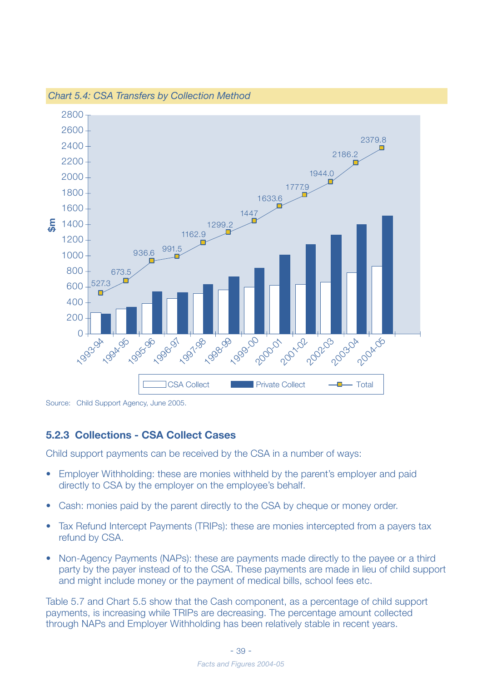![](_page_37_Figure_0.jpeg)

*Chart 5.4: CSA Transfers by Collection Method*

Source: Child Support Agency, June 2005.

#### **5.2.3 Collections - CSA Collect Cases**

Child support payments can be received by the CSA in a number of ways:

- Employer Withholding: these are monies withheld by the parent's employer and paid directly to CSA by the employer on the employee's behalf.
- Cash: monies paid by the parent directly to the CSA by cheque or money order.
- Tax Refund Intercept Payments (TRIPs): these are monies intercepted from a payers tax refund by CSA.
- Non-Agency Payments (NAPs): these are payments made directly to the payee or a third party by the payer instead of to the CSA. These payments are made in lieu of child support and might include money or the payment of medical bills, school fees etc.

Table 5.7 and Chart 5.5 show that the Cash component, as a percentage of child support payments, is increasing while TRIPs are decreasing. The percentage amount collected through NAPs and Employer Withholding has been relatively stable in recent years.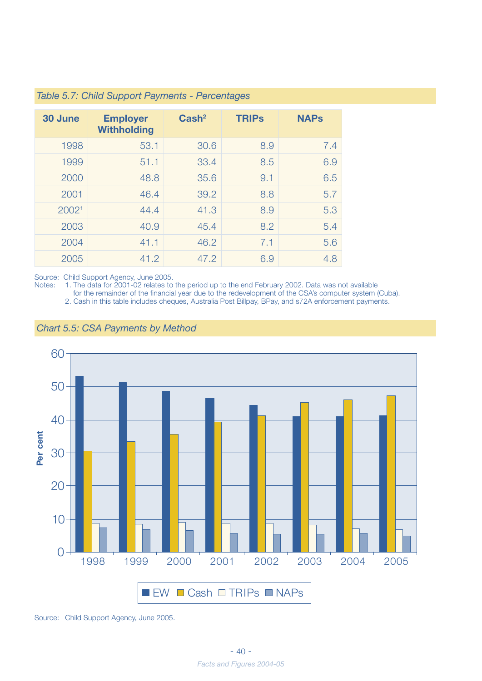| 30 June           | <b>Employer</b><br><b>Withholding</b> | $\text{Cash}^2$ | <b>TRIPS</b> | <b>NAPs</b> |
|-------------------|---------------------------------------|-----------------|--------------|-------------|
| 1998              | 53.1                                  | 30.6            | 8.9          | 7.4         |
| 1999              | 51.1                                  | 33.4            | 8.5          | 6.9         |
| 2000              | 48.8                                  | 35.6            | 9.1          | 6.5         |
| 2001              | 46.4                                  | 39.2            | 8.8          | 5.7         |
| 2002 <sup>1</sup> | 44.4                                  | 41.3            | 8.9          | 5.3         |
| 2003              | 40.9                                  | 45.4            | 8.2          | 5.4         |
| 2004              | 41.1                                  | 46.2            | 7.1          | 5.6         |
| 2005              | 41.2                                  | 47.2            | 6.9          | 4.8         |

#### *Table 5.7: Child Support Payments - Percentages*

Source: Child Support Agency, June 2005.

Notes: 1. The data for 2001-02 relates to the period up to the end February 2002. Data was not available

for the remainder of the financial year due to the redevelopment of the CSA's computer system (Cuba).

2. Cash in this table includes cheques, Australia Post Billpay, BPay, and s72A enforcement payments.

![](_page_38_Figure_6.jpeg)

#### *Chart 5.5: CSA Payments by Method*

Source: Child Support Agency, June 2005.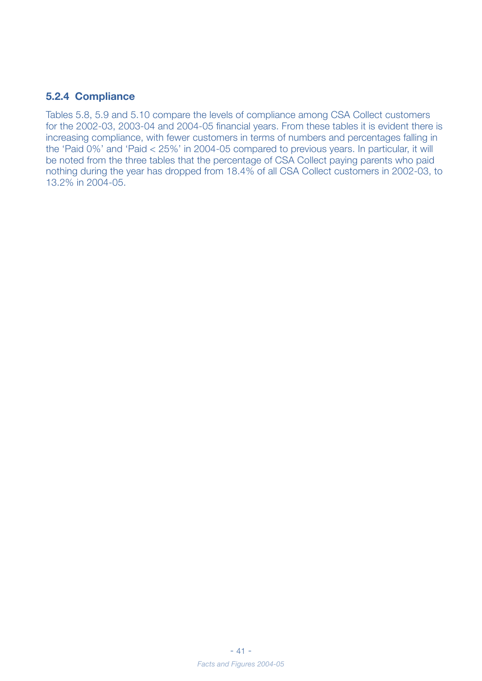#### **5.2.4 Compliance**

Tables 5.8, 5.9 and 5.10 compare the levels of compliance among CSA Collect customers for the 2002-03, 2003-04 and 2004-05 financial years. From these tables it is evident there is increasing compliance, with fewer customers in terms of numbers and percentages falling in the 'Paid 0%' and 'Paid < 25%' in 2004-05 compared to previous years. In particular, it will be noted from the three tables that the percentage of CSA Collect paying parents who paid nothing during the year has dropped from 18.4% of all CSA Collect customers in 2002-03, to 13.2% in 2004-05.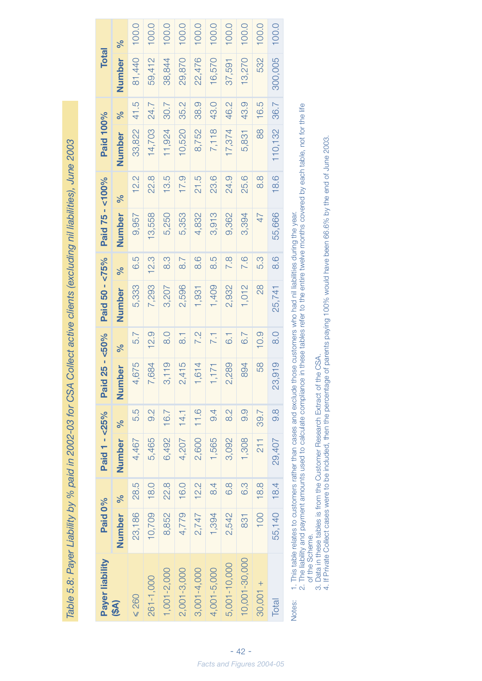Table 5.8: Payer Liability by % paid in 2002-03 for CSA Collect active clients (excluding nil liabilities), June 2003 *Table 5.8: Payer Liability by % paid in 2002-03 for CSA Collect active clients (excluding nil liabilities), June 2003*

| Payer liability | Paid 0%     |      | Paid 1 - < 25% |               | Paid          | $25 - 50%$       | Paid 50 - <75% |                   | Paid 75 - <100% |               | Paid 100% |      | <b>Total</b> |       |
|-----------------|-------------|------|----------------|---------------|---------------|------------------|----------------|-------------------|-----------------|---------------|-----------|------|--------------|-------|
| (\$A)           | Number %    |      | Number %       |               | <b>Number</b> | ಸಿ               | Number         | ಸಿ                | Number          | ್ಗೆ           | Number    | ್ಗೆ  | Number       | %     |
| $\leq 260$      | 23,186      | 28.5 | 4,467          | 5.5           | 4,675         | 5.7              | 5,333          | 6.5               | 9,957           | 12.2          | 33,822    | 41.5 | 81,440       | 100.0 |
| 261-1,000       | 10,709      | 18.0 | 5,465          | 9.2           | 7,684         | 12.9             | 7,293          | 12.3              | 13,558          | 22.8          | 14,703    | 24.7 | 59,412       | 100.0 |
| $1,001-2,000$   | 8,852       | 22.8 | 6,492          | 16.7          | 3,119         | $\frac{0}{8}$    | 3,207          | 3.9               | 5,250           | 13.5          | 11,924    | 30.7 | 38,844       | 100.0 |
| 2,001-3,000     | 4,779       | 16.0 | 4,207          | 14.1          | 2,415         | $\overline{3}$   | 2,596          | $\overline{8}$ .7 | 5,353           | 17.9          | 10,520    | 35.2 | 29,870       | 100.0 |
| 3,001-4,000     | 2,747       | 12.2 | 2,600          | 11.6          | , 614         | 7.2              | 1,931          | 8.6               | 4,832           | 21.5          | 8,752     | 38.9 | 22,476       | 100.0 |
| 4,001-5,000     | 1,394       | 8.4  | 1,565          | 9.4           | ,171          | 7.1              | 1,409          | S.5               | 3,913           | 23.6          | 7,118     | 43.0 | 16,570       | 100.0 |
| 5,001-10,000    | 2,542       | 6.8  | 3,092          | 8.2           | 2,289         | $\overline{6}$ . | 2,932          | 7.8               | 9,362           | 24.9          | 17,374    | 46.2 | 37,591       | 100.0 |
| 10,001-30,000   | 831         | 6.3  | 1,308          | 9.9           | 894           | 6.7              | 1,012          | 7.6               | 3,394           | 25.6          | 5,831     | 43.9 | 13,270       | 100.0 |
| $30,001 +$      | 100         | 18.8 | 211            | 39.7          | 58            | 10.9             | $\frac{8}{2}$  | 5.3               | 47              | $\frac{8}{8}$ | 88        | 16.5 | 532          | 100.0 |
| Total           | 55,140 18.4 |      | 29,407         | $\frac{8}{9}$ | 23,919        | $\frac{0}{8}$    | 25,741         | 8.6               | 55,666          | 18.6          | 110,132   | 36.7 | 300,005      | 100.0 |
|                 |             |      |                |               |               |                  |                |                   |                 |               |           |      |              |       |

Notes: 1. This table relates to customers rather than cases and exclude those customers who had nil liabilities during the year. Notes:

1. This table relates to customers rather than cases and exclude those customers who had nil liabilities during the year.<br>2. The liability and payment amounts used to calculate compilance in these tables refer to the entir 2. The liability and payment amounts used to calculate compliance in these tables refer to the entire twelve months covered by each table, not for the life of the Scheme.

3. Data in these tables is from the Customer Research Extract of the CSA.

of the Scheme.<br>3. Data in these tables is from the Customer Research Extract of the CSA.<br>4. If Private Collect cases were to be included, then the percentage of parents paying 100% would have been 66.6% by the end of June 4. If Private Collect cases were to be included, then the percentage of parents paying 100% would have been 66.6% by the end of June 2003.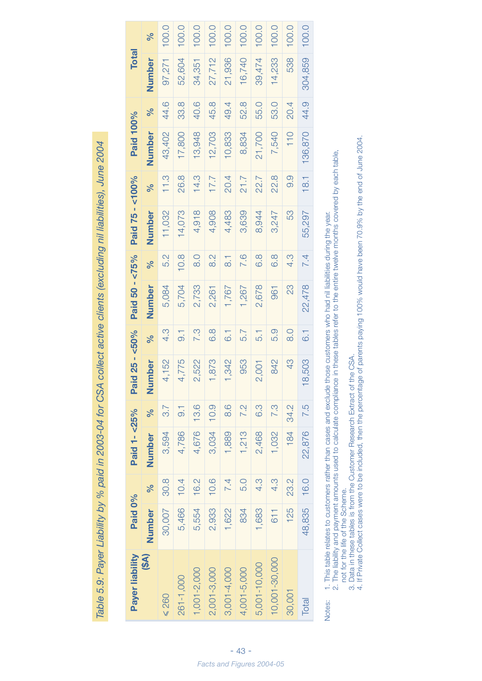Table 5.9: Payer Liability by % paid in 2003-04 for CSA collect active clients (excluding nil liabilities), June 2004 *Table 5.9: Payer Liability by % paid in 2003-04 for CSA collect active clients (excluding nil liabilities), June 2004*

| Payer liability | Paid 0% |      | Paid 1-<25% |                | Pai                    | $d$ 25 - <50%    | Paid 50 - <75% |                  | Paid 75 - <100% |      | Paid 100% |      | <b>Total</b> |       |
|-----------------|---------|------|-------------|----------------|------------------------|------------------|----------------|------------------|-----------------|------|-----------|------|--------------|-------|
| (\$A)           | Number  | ℅    | Number      | ℅              | Number                 | ಸಿ               | Number         | ಸಿ               | Number          | ಸಿ   | Number    | ್ಗೆ  | Number       | ಸಿ    |
| $\leq 260$      | 30,007  | 30.8 | 3,594       | 3.7            | 4,152                  | 4.3              | 5,084          | 5.2              | 11,032          | 11.3 | 43,402    | 44.6 | 97,271       | 100.0 |
| 261-1,000       | 5,466   | 10.4 | 4,786       | $\overline{0}$ | 4,775                  | $\overline{0}$   | 5,704          | 10.8             | 14,073          | 26.8 | 17,800    | 33.8 | 52,604       | 100.0 |
| 1,001-2,000     | 5,554   | 16.2 | 4,676       | 13.6           | 2,522                  | 7.3              | 2,733          | $\frac{0}{8}$    | 4,918           | 14.3 | 13,948    | 40.6 | 34,351       | 100.0 |
| 2,001-3,000     | 2,933   | 10.6 | 3,034       | 10.9           | 1,873                  | 6.8              | 2,261          | $\frac{2}{8}$    | 4,908           | 7.7  | 12,703    | 45.8 | 27,712       | 100.0 |
| 3,001-4,000     | 1,622   | 7.4  | 1,889       | 8.6            | ,342                   | $\overline{6}$ . | 1,767          | $\frac{1}{8}$    | 4,483           | 20.4 | 10,833    | 49.4 | 21,936       | 100.0 |
| 4,001-5,000     | 834     | 5.0  | 1,213       | 7.2            | 953                    | 5.7              | 1,267          | 7.6              | 3,639           | 21.7 | 8,834     | 52.8 | 16,740       | 100.0 |
| 5,001-10,000    | 1,683   | 4.3  | 2,468       | 6.3            | 2,001                  | 5.1              | 2,678          | 6.8              | 8,944           | 22.7 | 21,700    | 55.0 | 39,474       | 100.0 |
| 10,001-30,000   | 611     | 4.3  | 1,032       | 7.3            | 842                    | 5.9              | 961            | 6.9              | 3,247           | 22.8 | 7,540     | 53.0 | 14,233       | 100.0 |
| 30,001          | 125     | 23.2 | 184         | 34.2           | 43                     | $\frac{0}{8}$    | 23             | 4.3              | 53              | 0.9  | 110       | 20.4 | 538          | 100.0 |
| Total           | 48,835  | 16.0 | 22,876      | 7.5            | 503<br>$\overline{18}$ | $\overline{6}$ . | 22,478         | $\overline{7}.4$ | 55,297          | 18.1 | 136,870   | 44.9 | 304,859      | 100.0 |

Notes: 1. This table relates to customers rather than cases and exclude those customers who had nil liabilities during the year. Notes:

 2. The liability and payment amounts used to calculate compliance in these tables refer to the entire twelve months covered by each table, 1. This table relates to customers rather than cases and exclude those customers who had nil liabilities during the year.<br>2. The liability and payment amounts used to calculate compliance in these tables refer to the entir

not for the life of the Scheme.

3. Data in these tables is from the Customer Research Extract of the CSA.

not for the life of the Scheme.<br>3. Data in these tables is from the Customer Research Extract of the CSA.<br>4. If Private Collect cases were to be included, then the percentage of parents paying 100% would have been 70.9% by 4. If Private Collect cases were to be included, then the percentage of parents paying 100% would have been 70.9% by the end of June 2004.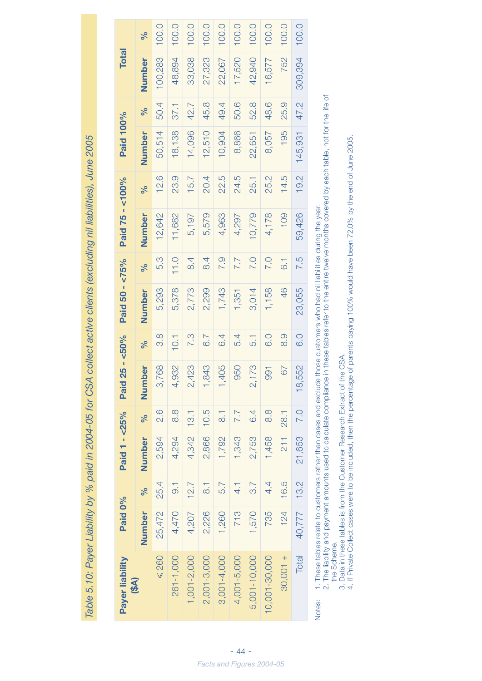Table 5.10: Payer Liability by % paid in 2004-05 for CSA collect active clients (excluding nil liabilities), June 2005 *Table 5.10: Payer Liability by % paid in 2004-05 for CSA collect active clients (excluding nil liabilities), June 2005*

| Payer liability<br>(\$A) | Paid 0% |                  | Paid 1 - $< 25\%$ |                    | Paid 2                    | $25 - 50%$       | Paid 50 - <75% |                   | Paid 75 - <100% |      | Paid 100% |      | <b>Total</b> |       |
|--------------------------|---------|------------------|-------------------|--------------------|---------------------------|------------------|----------------|-------------------|-----------------|------|-----------|------|--------------|-------|
|                          | Number  | ৡ                | Number            | $\sqrt{6}$         | <b>Jer</b><br>Numb        | ಸಿ               | Number         | ಸಿ                | Number          | ℅    | Number    | ℅    | Number       | ಸಿ    |
| $\leq 260$               | 25,472  | 25.4             | 2,594             | 2.6                | $\frac{8}{68}$<br>3,7     | 8.8              | 5,293          | 5.3               | 12,642          | 12.6 | 50,514    | 50.4 | 100,283      | 100.0 |
| 261-1,000                | 4,470   | $\overline{0}$ . | 4,294             | 8.8                | 4,932                     | 10.1             | 5,378          | 11.0              | 11,682          | 23.9 | 18,138    | 37.1 | 48,894       | 100.0 |
| $1,001 - 2,000$          | 4,207   | 12.7             | 4,342             | 13.1               | 23<br>2,4                 | 7.3              | 2,773          | $\overline{8}$ .4 | 5,197           | 15.7 | 14,096    | 42.7 | 33,038       | 100.0 |
| 2,001-3,000              | 2,226   | $\overline{8}$   | 2,866             | 10.5               | 34<br>$\frac{8}{1}$       | 6.7              | 2,299          | $\overline{84}$   | 5,579           | 20.4 | 12,510    | 45.8 | 27,323       | 100.0 |
| 3,001-4,000              | 1,260   | 5.7              | 1,792             | $\overline{\circ}$ | 1,405                     | 6.4              | 1,743          | <b>P.S</b>        | 4,963           | 22.5 | 10,904    | 49.4 | 22,067       | 100.0 |
| 4,001-5,000              | 713     | $\frac{1}{4}$    | 1,343             | 7.7                | 50<br>$\circ$             | 5.4              | 1,351          | 7.7               | 4,297           | 24.5 | 8,866     | 50.6 | 17,520       | 100.0 |
| 5,001-10,000             | 1,570   | 3.7              | 2,753             | 6.4                | 73<br>2,1                 | 5.1              | 3,014          | <b>P.O</b>        | 10,779          | 25.1 | 22,651    | 52.8 | 42,940       | 100.0 |
| 10,001-30,000            | 735     | 4.4              | 1,458             | $\frac{8}{3}$      | $\overline{9}$<br>$\circ$ | 0.0              | 1,158          | <b>7.0</b>        | 4,178           | 25.2 | 8,057     | 48.6 | 16,577       | 100.0 |
| $-100,001 +$             | 124     | 16.5             | 211               | 28.1               | 67                        | 0.6              | 46             | $\overline{6}$ .  | 109             | 14.5 | 195       | 25.9 | 752          | 100.0 |
| Total                    | 40,777  | 13.2             | 21,653            | <b>7.0</b>         | 52<br>18,5                | $\overline{0}$ . | 23,055         | 7.5               | 59,426          | 19.2 | 145,931   | 47.2 | 309,394      | 100.0 |
|                          |         |                  |                   |                    |                           |                  |                |                   |                 |      |           |      |              |       |

Notes: 1. These tables relate to customers rather than cases and exclude those customers who had nil liabilities during the year.

Notes:

1. These tables relate to customers rather than cases and exclude those customers who had nil liabilities during the year.<br>2. The liability and payment amounts used to calculate compliance in these tables refer to the enti 2. The liability and payment amounts used to calculate compliance in these tables refer to the entire twelve months covered by each table, not for the life of the Scheme. the Scheme.

3. Data in these tables is from the Customer Research Extract of the CSA.

3. Data in these tables is from the Customer Research Extract of the CSA.<br>4. If Private Collect cases were to be included, then the percentage of parents paying 100% would have been 72.0% by the end of June 2005. 4. If Private Collect cases were to be included, then the percentage of parents paying 100% would have been 72.0% by the end of June 2005.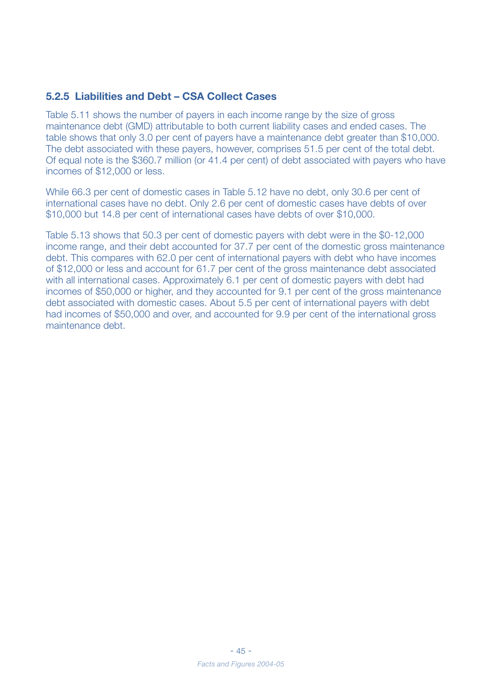#### **5.2.5 Liabilities and Debt – CSA Collect Cases**

Table 5.11 shows the number of payers in each income range by the size of gross maintenance debt (GMD) attributable to both current liability cases and ended cases. The table shows that only 3.0 per cent of payers have a maintenance debt greater than \$10,000. The debt associated with these payers, however, comprises 51.5 per cent of the total debt. Of equal note is the \$360.7 million (or 41.4 per cent) of debt associated with payers who have incomes of \$12,000 or less.

While 66.3 per cent of domestic cases in Table 5.12 have no debt, only 30.6 per cent of international cases have no debt. Only 2.6 per cent of domestic cases have debts of over \$10,000 but 14.8 per cent of international cases have debts of over \$10,000.

Table 5.13 shows that 50.3 per cent of domestic payers with debt were in the \$0-12,000 income range, and their debt accounted for 37.7 per cent of the domestic gross maintenance debt. This compares with 62.0 per cent of international payers with debt who have incomes of \$12,000 or less and account for 61.7 per cent of the gross maintenance debt associated with all international cases. Approximately 6.1 per cent of domestic payers with debt had incomes of \$50,000 or higher, and they accounted for 9.1 per cent of the gross maintenance debt associated with domestic cases. About 5.5 per cent of international payers with debt had incomes of \$50,000 and over, and accounted for 9.9 per cent of the international gross maintenance debt.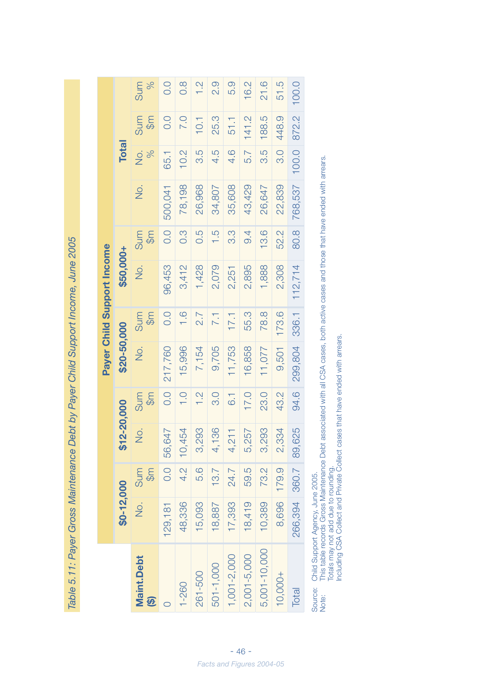Table 5.11: Payer Gross Maintenance Debt by Payer Child Support Income, June 2005 *Table 5.11: Payer Gross Maintenance Debt by Payer Child Support Income, June 2005*

|                                                  |               |                      |             |                      |             |                      | Payer Child Support Income |                      |         |                                |                      |                      |
|--------------------------------------------------|---------------|----------------------|-------------|----------------------|-------------|----------------------|----------------------------|----------------------|---------|--------------------------------|----------------------|----------------------|
|                                                  | $$0-12,000$   |                      | \$12-20,000 |                      | \$20-50,000 |                      | \$50,000+                  |                      |         | <b>Total</b>                   |                      |                      |
| <b>Maint.Debt</b><br>$\widehat{\mathbf{\Theta}}$ | $\frac{1}{2}$ | Sum<br>$\frac{6}{5}$ | So.         | $\frac{6}{5}$<br>Sum | No.         | Sum<br>$\frac{6}{9}$ | ģ.                         | $\frac{6}{5}$<br>Sum | .<br>S  | $\frac{1}{2}$<br>$\frac{5}{6}$ | Sum<br>$\frac{6}{5}$ | $\frac{5}{6}$<br>Sum |
|                                                  | 129,181       | 0.0                  | 56,647      | O.0                  | 217,760     | 0.0                  | 96,453                     | 0.0                  | 500,041 | 65.1                           | O.0                  | O.0                  |
| $1 - 260$                                        | 48,336        | $\frac{2}{4}$        | 10,454      | $rac{1}{\sqrt{1}}$   | 15,996      | $\frac{0}{1}$        | 3,412                      | $0.\overline{3}$     | 78,198  | 10.2                           | 7.0                  | $\frac{8}{2}$        |
| 261-500                                          | 15,093        | 5.6                  | 3,293       | $\frac{1}{2}$        | 7,154       | $\overline{2.7}$     | 1,428                      | 0.5                  | 26,968  | 3.5                            | 10.1                 |                      |
| 501-1,000                                        | 18,887        | 13.7                 | 4,136       | $\overline{3}$ .0    | 9,705       | 7.1                  | 2,079                      | $\frac{5}{1}$        | 34,807  | 4.5                            | 25.3                 | Q.G                  |
| $1,001 - 2,000$                                  | 17,393        | 24.7                 | 4,211       | $\overline{6}$ .     | 11,753      | 17.1                 | 2,251                      | <u>ကိ</u>            | 35,608  | 4.6                            | 51.1                 | 5.9                  |
| $2,001 - 5,000$                                  | 18,419        | 59.5                 | 5,257       | 17.0                 | 16,858      | 55.3                 | 2,895                      | $\overline{9}$ .     | 43,429  | 5.7                            | 141.2                | 16.2                 |
| 5,001-10,000                                     | 10,389        | 73.2                 | 3,293       | 23.0                 | 11,077      | 78.8                 | 1,888                      | 13.6                 | 26,647  | 3.5                            | 188.5                | 21.6                 |
| 10,000+                                          | 8,696         | 179.9                | 2,334       | 43.2                 | 9,501       | 173.6                | 2,308                      | 52.2                 | 22,839  | $\overline{3}$ .0              | 448.9                | 51.5                 |
| Total                                            | 266,394       | 360.7                | 89,625      | 94.6                 | 299,804     | 336.1                | 112,714                    | 80.8                 | 768,537 | 100.0                          | 872.2                | 100.0                |
|                                                  |               |                      |             |                      |             |                      |                            |                      |         |                                |                      |                      |

Source: Child Support Agency, June 2005. Source:<br>Note:

Child Support Agency, June 2005.<br>This table records Gross Maintenance Debt associated with all CSA cases, both active cases and those that have ended with arrears.<br>Totals may not add due to rounding.<br>Including CSA Collect Note: This table records Gross Maintenance Debt associated with all CSA cases, both active cases and those that have ended with arrears. Totals may not add due to rounding.

Including CSA Collect and Private Collect cases that have ended with arrears.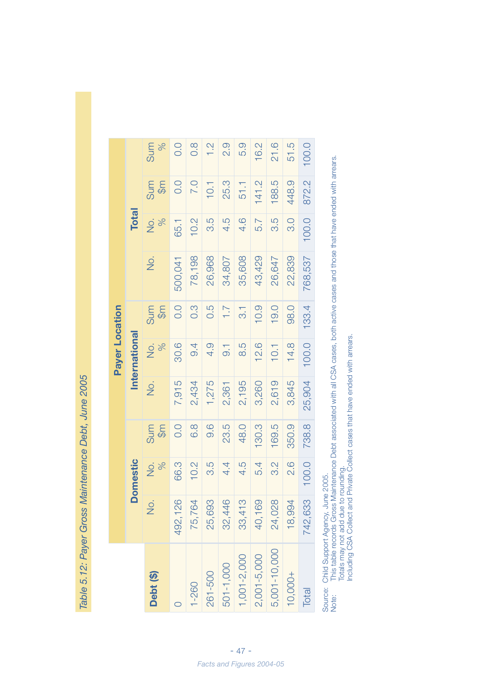Table 5.12: Payer Gross Maintenance Debt, June 2005 *Table 5.12: Payer Gross Maintenance Debt, June 2005*

|                 |               |         |            |        | <b>Payer Location</b> |                      |         |                     |           |                      |
|-----------------|---------------|---------|------------|--------|-----------------------|----------------------|---------|---------------------|-----------|----------------------|
|                 | Ŏ             | omestic |            |        | <b>International</b>  |                      |         | <b>Total</b>        |           |                      |
| Debt (\$)       | $\frac{1}{2}$ | No.     | Sum<br>\$m | .<br>2 | $\frac{5}{6}$<br>S.   | Sum<br>$\frac{6}{5}$ | ,<br>2  | $\frac{5}{6}$<br>δ. | Sum<br>\$ | $\frac{5}{6}$<br>Sum |
|                 | 492,126       | 66.3    | 0.0        | 7,915  | 30.6                  | 0.0                  | 500,041 | 65.1                | O.0       | 0.0                  |
| $1 - 260$       | 75,764        | 10.2    | 6.8        | 2,434  | 9.4                   | $0.\overline{3}$     | 78,198  | 10.2                | 7.0       | $\frac{8}{2}$        |
| 261-500         | 25,693        | 3.5     | 0.6        | 1,275  | 4.9                   | 0.5                  | 26,968  | 3.5                 | 10.1      | $\frac{1}{2}$        |
| 501-1,000       | 32,446        | 4.4     | 23.5       | 2,361  | $\overline{0}$        | 7.7                  | 34,807  | 4.5                 | 25.3      | 2.9                  |
| $1,001 - 2,000$ | 33,413        | 4.5     | 48.0       | 2,195  | 8.5                   | $\overline{3}$ .     | 35,608  | 4.6                 | 51.1      | 5.9                  |
| $2,001 - 5,000$ | 40,169        | 5.4     | 130.3      | 3,260  | 12.6                  | 10.9                 | 43,429  | 5.7                 | 141.2     | 16.2                 |
| 5,001-10,000    | 24,028        | 3.2     | 169.5      | 2,619  | 10.1                  | 19.0                 | 26,647  | S.5                 | 188.5     | 21.6                 |
| $10,000+$       | 18,994        | 2.6     | 350.9      | 3,845  | 14.8                  | 98.0                 | 22,839  | $\frac{0}{3}$       | 448.9     | 51.5                 |
| Total           | 742,633       | 100.0   | 738.8      | 25,904 | 100.0                 | 133.4                | 768,537 | 100.0               | 872.2     | 100.0                |
|                 |               |         |            |        |                       |                      |         |                     |           |                      |

Source: Child Support Agency, June 2005.

Source: Child Support Agency, June 2005.<br>Note: This table records Gross Maintenance Debt associated with all CSA cases, both active cases and those that have ended with arrears.<br>Totals may not add due to rounding.<br>Includin Note: This table records Gross Maintenance Debt associated with all CSA cases, both active cases and those that have ended with arrears. Including CSA Collect and Private Collect cases that have ended with arrears. Totals may not add due to rounding.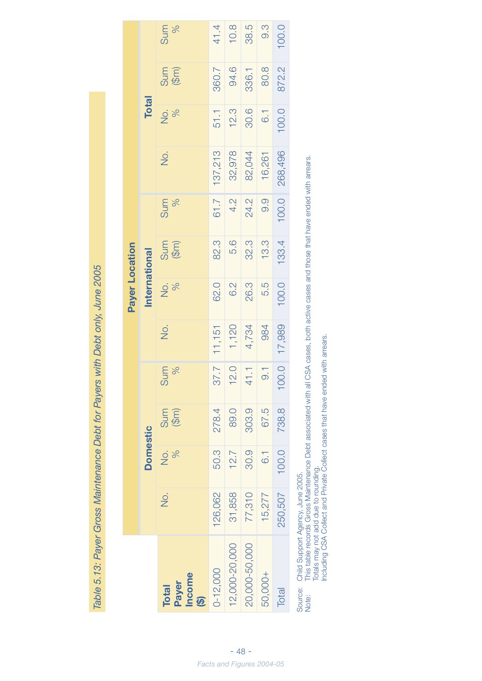| June 2005<br>)<br>)<br>,                              |
|-------------------------------------------------------|
| $h \cap \Delta h + \cap \omega'$<br>)<br>22)<br>1     |
| <b>SAN CIDAD I DIST</b><br><b>SAY UNION OF BUTTER</b> |
|                                                       |
| <b>NO. 12 DAY 12 DAY</b>                              |
| Ι                                                     |
| <b>レンコーン</b><br>City<br>Ma 5 15                       |
|                                                       |
|                                                       |

|                                                             |                     |                                |                                 |                |              | Payer Location |              |                       |         |              |             |          |
|-------------------------------------------------------------|---------------------|--------------------------------|---------------------------------|----------------|--------------|----------------|--------------|-----------------------|---------|--------------|-------------|----------|
|                                                             |                     | <b>Domestic</b>                |                                 |                |              | International  |              |                       |         | <b>Total</b> |             |          |
| Income<br>Payer<br><b>Total</b><br>$\widehat{\mathfrak{G}}$ | $\frac{\dot{Q}}{Z}$ | $\frac{5}{6}$<br>$\frac{1}{2}$ | Sum<br>$(\mathbb{G}\mathrm{m})$ | Sum<br>%       | <u>о</u> ј   | Do.            | Sum<br>(\$m) | $\frac{96}{6}$<br>Sum | Q.      | <b>No.</b>   | $rac{5}{3}$ | Sum<br>% |
| $0 - 12,000$                                                | 126,062             | 50.3                           | 278.4                           | 1.78           | 11,151       | 62.0           | 82.3         | 61.7                  | 137,213 | 51.1         | 360.7       | 41.4     |
| 12,000-20,000                                               | 31,858              | 12.7                           | 89.0                            | 12.0           | 1,120        | 6.2            | 5.6          | 4.2                   | 32,978  | 12.3         | 94.6        | 10.8     |
| 20,000-50,000                                               | 77,310              | 30.9                           | 303.9                           | 41.1           | 4,734        | 26.3           | 32.3         | 24.2                  | 82,044  | 30.6         | 336.1       | 38.5     |
| 50,000+                                                     | 15,277              | $\overline{6}$ .               | 67.5                            | $\overline{0}$ | 984          | 5.5            | 13.3         | 0.9                   | 16,261  | 6.1          | 80.8        | 0.3      |
| Total                                                       | 250,507             | 100.0                          | 738.8                           |                | 100.0 17,989 | 100.0          | 133.4        | 100.0                 | 268,496 | 100.0        | 872.2       | 100.0    |
|                                                             |                     |                                |                                 |                |              |                |              |                       |         |              |             |          |

Source: Child Support Agency, June 2005.

Note: This table records Gross Maintenance Debt associated with all CSA cases, both active cases and those that have ended with arrears. Totals may not add due to rounding.

Including CSA Collect and Private Collect cases that have ended with arrears.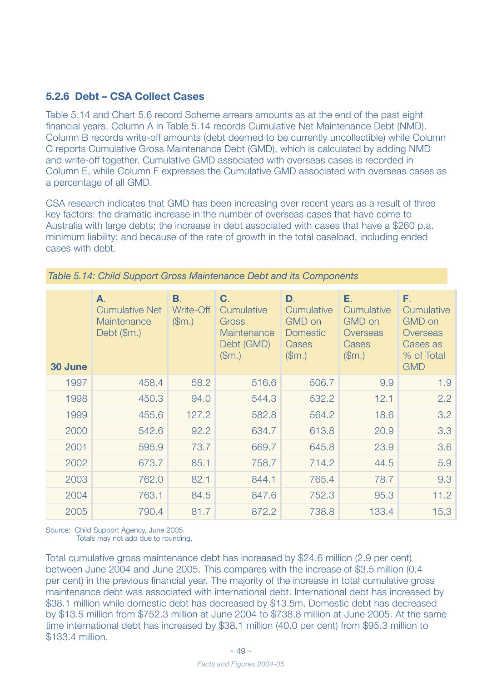#### **5.2.6 Debt – CSA Collect Cases**

Table 5.14 and Chart 5.6 record Scheme arrears amounts as at the end of the past eight financial years. Column A in Table 5.14 records Cumulative Net Maintenance Debt (NMD). Column B records write-off amounts (debt deemed to be currently uncollectible) while Column C reports Cumulative Gross Maintenance Debt (GMD), which is calculated by adding NMD and write-off together. Cumulative GMD associated with overseas cases is recorded in Column E, while Column F expresses the Cumulative GMD associated with overseas cases as a percentage of all GMD.

CSA research indicates that GMD has been increasing over recent years as a result of three key factors: the dramatic increase in the number of overseas cases that have come to Australia with large debts; the increase in debt associated with cases that have a \$260 p.a. minimum liability; and because of the rate of growth in the total caseload, including ended cases with debt.

| 30 June | А.<br><b>Cumulative Net</b><br>Maintenance<br>Debt $(\$m.)$ | В.<br>Write-Off<br>(Sm.) | C.<br>Cumulative<br>Gross<br><b>Maintenance</b><br>Debt (GMD)<br>(Sm.) | D.<br>Cumulative<br><b>GMD</b> on<br><b>Domestic</b><br>Cases<br>$(\mathsf{Sm}.)$ | Е.<br>Cumulative<br><b>GMD</b> on<br>Overseas<br>Cases<br>(\$m.) | F.<br>Cumulative<br><b>GMD</b> on<br>Overseas<br>Cases as<br>% of Total<br><b>GMD</b> |
|---------|-------------------------------------------------------------|--------------------------|------------------------------------------------------------------------|-----------------------------------------------------------------------------------|------------------------------------------------------------------|---------------------------------------------------------------------------------------|
| 1997    | 458.4                                                       | 58.2                     | 516.6                                                                  | 506.7                                                                             | 9.9                                                              | 1.9                                                                                   |
| 1998    | 450.3                                                       | 94.0                     | 544.3                                                                  | 532.2                                                                             | 12.1                                                             | 2.2                                                                                   |
| 1999    | 455.6                                                       | 127.2                    | 582.8                                                                  | 564.2                                                                             | 18.6                                                             | 3.2                                                                                   |
| 2000    | 542.6                                                       | 92.2                     | 634.7                                                                  | 613.8                                                                             | 20.9                                                             | 3.3                                                                                   |
| 2001    | 595.9                                                       | 73.7                     | 669.7                                                                  | 645.8                                                                             | 23.9                                                             | 3.6                                                                                   |
| 2002    | 673.7                                                       | 85.1                     | 758.7                                                                  | 714.2                                                                             | 44.5                                                             | 5.9                                                                                   |
| 2003    | 762.0                                                       | 82.1                     | 844.1                                                                  | 765.4                                                                             | 78.7                                                             | 9.3                                                                                   |
| 2004    | 763.1                                                       | 84.5                     | 847.6                                                                  | 752.3                                                                             | 95.3                                                             | 11.2                                                                                  |
| 2005    | 790.4                                                       | 81.7                     | 872.2                                                                  | 738.8                                                                             | 133.4                                                            | 15.3                                                                                  |

*Table 5.14: Child Support Gross Maintenance Debt and its Components*

Source: Child Support Agency, June 2005. Totals may not add due to rounding.

Total cumulative gross maintenance debt has increased by \$24.6 million (2.9 per cent) between June 2004 and June 2005. This compares with the increase of \$3.5 million (0.4 per cent) in the previous financial year. The majority of the increase in total cumulative gross maintenance debt was associated with international debt. International debt has increased by \$38.1 million while domestic debt has decreased by \$13.5m. Domestic debt has decreased by \$13.5 million from \$752.3 million at June 2004 to \$738.8 million at June 2005. At the same time international debt has increased by \$38.1 million (40.0 per cent) from \$95.3 million to \$133.4 million.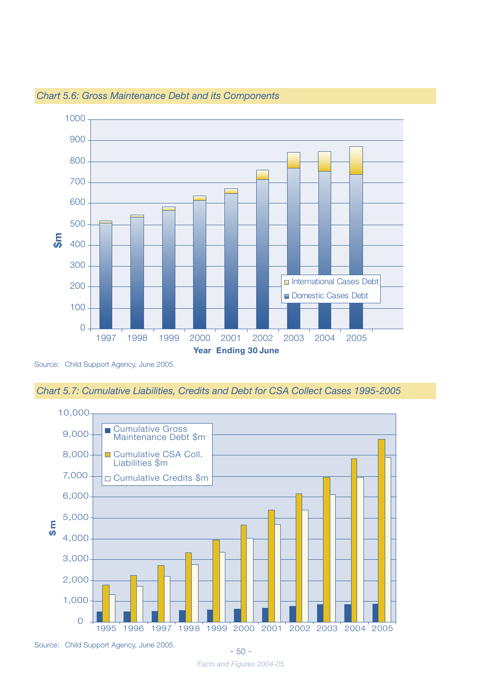![](_page_48_Figure_0.jpeg)

*Chart 5.6: Gross Maintenance Debt and its Components*

Source: Child Support Agency, June 2005.

![](_page_48_Figure_3.jpeg)

![](_page_48_Figure_4.jpeg)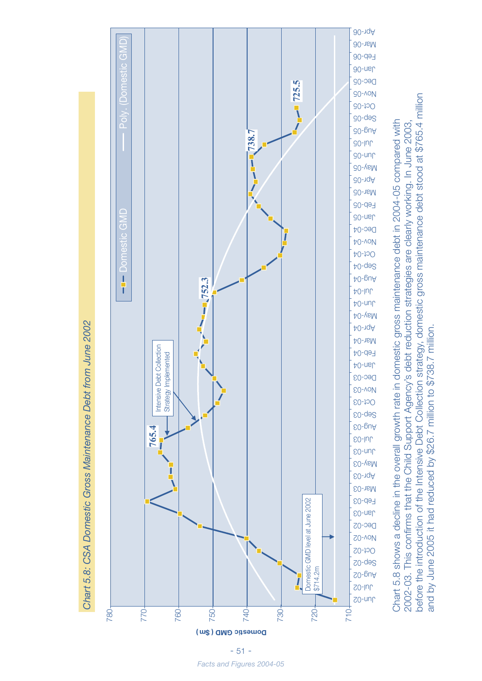![](_page_49_Figure_0.jpeg)

before the introduction of the Intensive Debt Collection strategy, domestic gross maintenance debt stood at \$765.4 million before the introduction of the Intensive Debt Collection strategy, domestic gross maintenance debt stood at \$765.4 million Chart 5.8 shows a decline in the overall growth rate in domestic gross maintenance debt in 2004-05 compared with 2002-03. This confirms that the Child Support Agency's debt reduction strategies are clearly working. In June 2003, Chart 5.8 shows a decline in the overall growth rate in domestic gross maintenance debt in 2004-05 compared with 2002-03. This confirms that the Child Support Agency's debt reduction strategies are clearly working. In June 2003, and by June 2005 it had reduced by \$26.7 million to \$738.7 million. and by June 2005 it had reduced by \$26.7 million to \$738.7 million.

- 51 - *Facts and Figures 2004-05*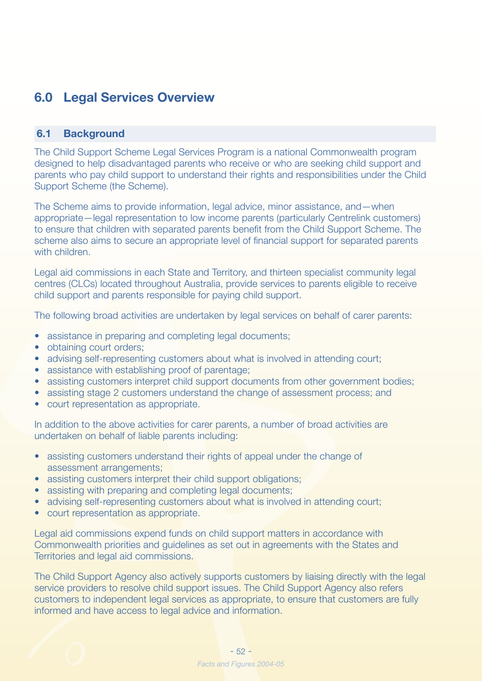## **6.0 Legal Services Overview**

#### **6.1 Background**

The Child Support Scheme Legal Services Program is a national Commonwealth program designed to help disadvantaged parents who receive or who are seeking child support and parents who pay child support to understand their rights and responsibilities under the Child Support Scheme (the Scheme).

The Scheme aims to provide information, legal advice, minor assistance, and—when appropriate—legal representation to low income parents (particularly Centrelink customers) to ensure that children with separated parents benefit from the Child Support Scheme. The scheme also aims to secure an appropriate level of financial support for separated parents with children.

Legal aid commissions in each State and Territory, and thirteen specialist community legal centres (CLCs) located throughout Australia, provide services to parents eligible to receive child support and parents responsible for paying child support.

The following broad activities are undertaken by legal services on behalf of carer parents:

- assistance in preparing and completing legal documents;
- obtaining court orders:
- advising self-representing customers about what is involved in attending court;
- assistance with establishing proof of parentage;
- assisting customers interpret child support documents from other government bodies;
- assisting stage 2 customers understand the change of assessment process; and
- court representation as appropriate.

In addition to the above activities for carer parents, a number of broad activities are undertaken on behalf of liable parents including:

- assisting customers understand their rights of appeal under the change of assessment arrangements;
- assisting customers interpret their child support obligations;
- assisting with preparing and completing legal documents;
- advising self-representing customers about what is involved in attending court;
- court representation as appropriate.

Legal aid commissions expend funds on child support matters in accordance with Commonwealth priorities and guidelines as set out in agreements with the States and Territories and legal aid commissions.

The Child Support Agency also actively supports customers by liaising directly with the legal service providers to resolve child support issues. The Child Support Agency also refers customers to independent legal services as appropriate, to ensure that customers are fully informed and have access to legal advice and information.

![](_page_50_Picture_21.jpeg)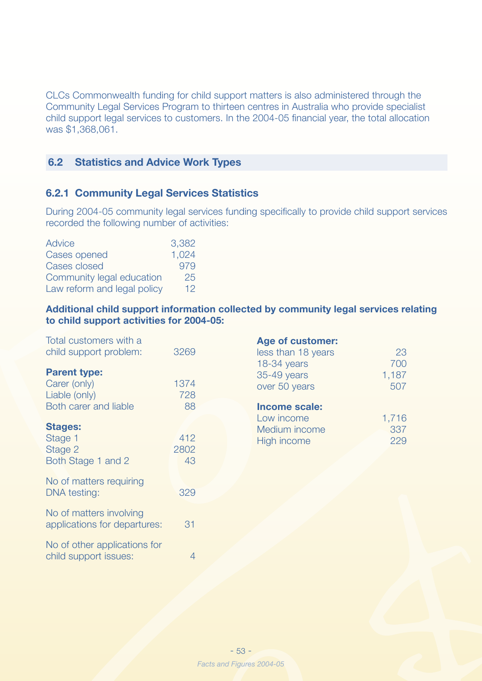CLCs Commonwealth funding for child support matters is also administered through the Community Legal Services Program to thirteen centres in Australia who provide specialist child support legal services to customers. In the 2004-05 financial year, the total allocation was \$1,368,061.

#### **6.2 Statistics and Advice Work Types**

#### **6.2.1 Community Legal Services Statistics**

During 2004-05 community legal services funding specifically to provide child support services recorded the following number of activities:

| Advice                      | 3,382           |
|-----------------------------|-----------------|
| Cases opened                | 1,024           |
| Cases closed                | 979             |
| Community legal education   | 25              |
| Law reform and legal policy | 12 <sub>1</sub> |

**Additional child support information collected by community legal services relating to child support activities for 2004-05:**

| Total customers with a<br>child support problem:           | 3269              |
|------------------------------------------------------------|-------------------|
| <b>Parent type:</b>                                        |                   |
| Carer (only)                                               | 1374              |
| Liable (only)                                              | 728               |
| <b>Both carer and liable</b>                               | 88                |
| <b>Stages:</b><br>Stage 1<br>Stage 2<br>Both Stage 1 and 2 | 412<br>2802<br>43 |
| No of matters requiring<br>DNA testing:                    | 329               |
| No of matters involving<br>applications for departures:    | 31                |
| No of other applications for<br>child support issues:      | 4                 |

| Age of customer.   |       |
|--------------------|-------|
| less than 18 years | 23    |
| 18-34 years        | 700   |
| 35-49 years        | 1,187 |
| over 50 years      | 507   |
|                    |       |

**Age of customer:**

| Income scale: |       |
|---------------|-------|
| Low income    | 1,716 |
| Medium income | 337   |
| High income   | 229   |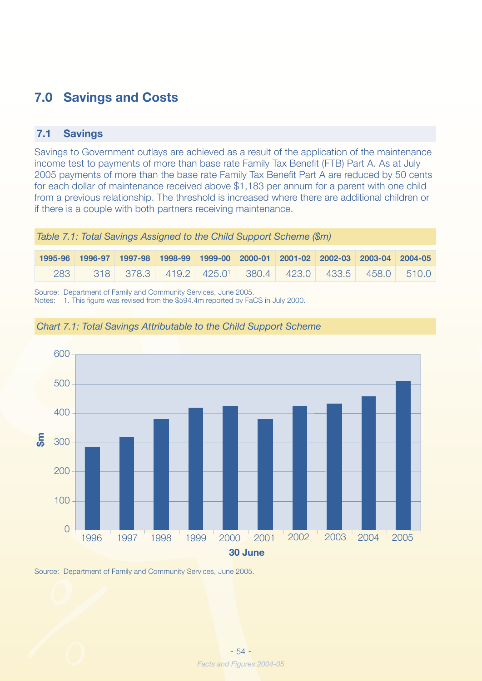## **7.0 Savings and Costs**

### **7.1 Savings**

Savings to Government outlays are achieved as a result of the application of the maintenance income test to payments of more than base rate Family Tax Benefit (FTB) Part A. As at July 2005 payments of more than the base rate Family Tax Benefit Part A are reduced by 50 cents for each dollar of maintenance received above \$1,183 per annum for a parent with one child from a previous relationship. The threshold is increased where there are additional children or if there is a couple with both partners receiving maintenance.

*Table 7.1: Total Savings Assigned to the Child Support Scheme (\$m)*

|     |  |  | 1995-96 1996-97 1997-98 1998-99 1999-00 2000-01 2001-02 2002-03 2003-04 2004-05 |  |  |
|-----|--|--|---------------------------------------------------------------------------------|--|--|
| 283 |  |  | $318$ 378,3 419,2 425,0 <sup>1</sup> 380,4 423,0 433,5 458,0 510,0              |  |  |

Source: Department of Family and Community Services, June 2005.

Notes: 1. This figure was revised from the \$594.4m reported by FaCS in July 2000.

![](_page_52_Figure_7.jpeg)

![](_page_52_Figure_8.jpeg)

Source: Department of Family and Community Services, June 2005.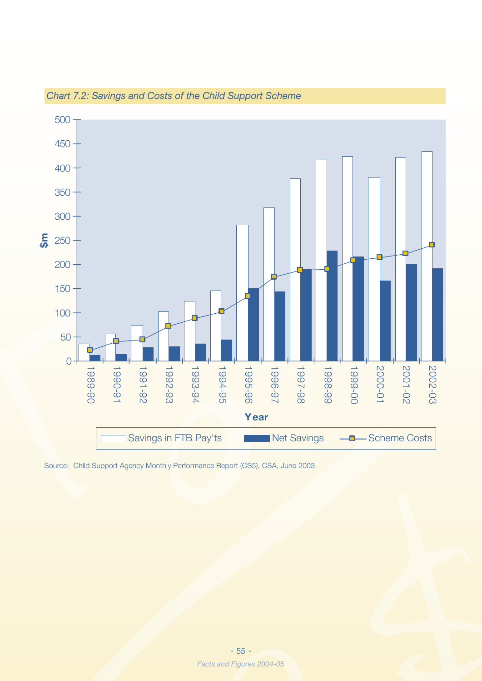![](_page_53_Figure_0.jpeg)

*Chart 7.2: Savings and Costs of the Child Support Scheme*

Source: Child Support Agency Monthly Performance Report (CS5), CSA, June 2003.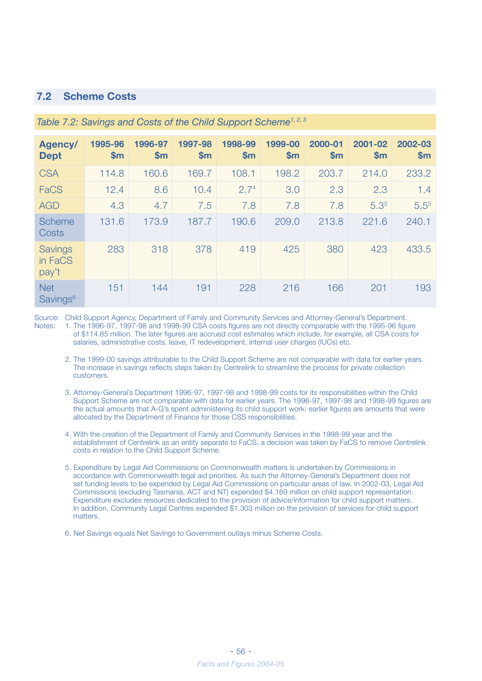#### **7.2 Scheme Costs**

| Agency/<br><b>Dept</b>             | 1995-96<br>\$m | 1996-97<br>\$m\$ | 1997-98<br>\$m | 1998-99<br>\$m   | 1999-00<br>\$m\$ | 2000-01<br>\$m | 2001-02<br>$\mathsf{Sm}$ | 2002-03<br>\$m |
|------------------------------------|----------------|------------------|----------------|------------------|------------------|----------------|--------------------------|----------------|
| <b>CSA</b>                         | 114.8          | 160.6            | 169.7          | 108.1            | 198.2            | 203.7          | 214.0                    | 233.2          |
| FaCS                               | 12.4           | 8.6              | 10.4           | 2.7 <sup>4</sup> | 3.0              | 2.3            | 2.3                      | 1.4            |
| <b>AGD</b>                         | 4.3            | 4.7              | 7.5            | 7.8              | 7.8              | 7.8            | 5.3 <sup>5</sup>         | $5.5^{5}$      |
| <b>Scheme</b><br>Costs             | 131.6          | 173.9            | 187.7          | 190.6            | 209.0            | 213.8          | 221.6                    | 240.1          |
| <b>Savings</b><br>in FaCS<br>pay't | 283            | 318              | 378            | 419              | 425              | 380            | 423                      | 433.5          |
| <b>Net</b><br>Savings <sup>6</sup> | 151            | 144              | 191            | 228              | 216              | 166            | 201                      | 193            |

#### *Table 7.2: Savings and Costs of the Child Support Scheme1, 2, 3*

Source: Child Support Agency, Department of Family and Community Services and Attorney-General's Department. Notes: 1. The 1996-97, 1997-98 and 1998-99 CSA costs figures are not directly comparable with the 1995-96 figure of \$114.85 million. The later figures are accrued cost estimates which include, for example, all CSA costs for salaries, administrative costs, leave, IT redevelopment, internal user charges (IUCs) etc.

- 2. The 1999-00 savings attributable to the Child Support Scheme are not comparable with data for earlier years. The increase in savings reflects steps taken by Centrelink to streamline the process for private collection customers.
- 3. Attorney-General's Department 1996-97, 1997-98 and 1998-99 costs for its responsibilities within the Child Support Scheme are not comparable with data for earlier years. The 1996-97, 1997-98 and 1998-99 figures are the actual amounts that A-G's spent administering its child support work: earlier figures are amounts that were allocated by the Department of Finance for those CSS responsibilities.
- 4. With the creation of the Department of Family and Community Services in the 1998-99 year and the establishment of Centrelink as an entity separate to FaCS, a decision was taken by FaCS to remove Centrelink costs in relation to the Child Support Scheme.
- 5. Expenditure by Legal Aid Commissions on Commonwealth matters is undertaken by Commissions in accordance with Commonwealth legal aid priorities. As such the Attorney-General's Department does not set funding levels to be expended by Legal Aid Commissions on particular areas of law. In 2002-03, Legal Aid Commissions (excluding Tasmania, ACT and NT) expended \$4.169 million on child support representation. Expenditure excludes resources dedicated to the provision of advice/information for child support matters. In addition, Community Legal Centres expended \$1.303 million on the provision of services for child support matters.
- 6. Net Savings equals Net Savings to Government outlays minus Scheme Costs.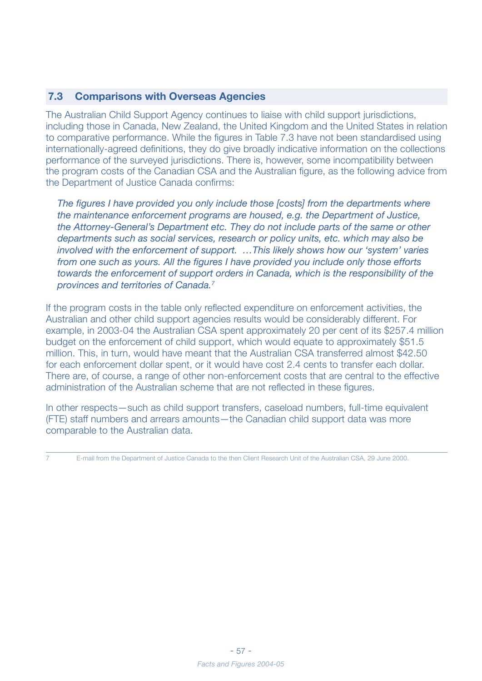#### **7.3 Comparisons with Overseas Agencies**

The Australian Child Support Agency continues to liaise with child support jurisdictions, including those in Canada, New Zealand, the United Kingdom and the United States in relation to comparative performance. While the figures in Table 7.3 have not been standardised using internationally-agreed definitions, they do give broadly indicative information on the collections performance of the surveyed jurisdictions. There is, however, some incompatibility between the program costs of the Canadian CSA and the Australian figure, as the following advice from the Department of Justice Canada confirms:

*The figures I have provided you only include those [costs] from the departments where the maintenance enforcement programs are housed, e.g. the Department of Justice, the Attorney-General's Department etc. They do not include parts of the same or other departments such as social services, research or policy units, etc. which may also be involved with the enforcement of support. …This likely shows how our 'system' varies from one such as yours. All the figures I have provided you include only those efforts towards the enforcement of support orders in Canada, which is the responsibility of the provinces and territories of Canada.7*

If the program costs in the table only reflected expenditure on enforcement activities, the Australian and other child support agencies results would be considerably different. For example, in 2003-04 the Australian CSA spent approximately 20 per cent of its \$257.4 million budget on the enforcement of child support, which would equate to approximately \$51.5 million. This, in turn, would have meant that the Australian CSA transferred almost \$42.50 for each enforcement dollar spent, or it would have cost 2.4 cents to transfer each dollar. There are, of course, a range of other non-enforcement costs that are central to the effective administration of the Australian scheme that are not reflected in these figures.

In other respects—such as child support transfers, caseload numbers, full-time equivalent (FTE) staff numbers and arrears amounts—the Canadian child support data was more comparable to the Australian data.

7 E-mail from the Department of Justice Canada to the then Client Research Unit of the Australian CSA, 29 June 2000.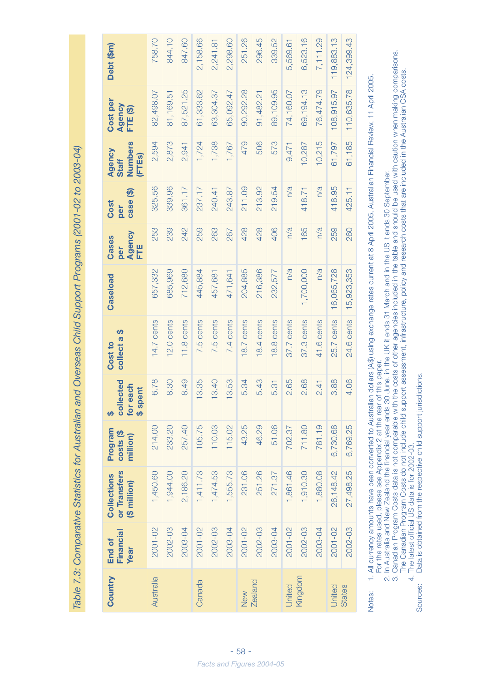Table 7.3: Comparative Statistics for Australian and Overseas Child Support Programs (2001-02 to 2003-04) *Table 7.3: Comparative Statistics for Australian and Overseas Child Support Programs (2001-02 to 2003-04)*

Notes: 1. All currency amounts have been converted to Australian dollars (A\$) using exchange rates current at 8 April 2005, Australian Financial Review, 11 April 2005. 1. All currency amounts have been converted to Australian dollars (A\$) using exchange rates current at 8 April 2005, Australian Financial Review, 11 April 2005. For the rates used, please see Appendix 2 at the rear of this paper. For the rates used, please see Appendix 2 at the rear of this paper. Notes:

2. In Australia and New Zealand the financial year ends 30 June, in the UK it ends 31 March and in the US it ends 30 September. 2. In Australia and New Zealand the financial year ends 30 June, in the UK it ends 31 March and in the US it ends 30 September.

 3. Canadian Program Costs data is not comparable with the costs of other agencies included in the table and should be used with caution when making comparisons. 3. Canadian Program Costs data is not comparable with the costs of other agencies included in the table and should be used with caution when making comparisons. The Canadian Program Costs do not include child support assessment, infrastructure, policy and research costs that are included in the Australian CSA costs. The Canadian Program Costs do not include child support assessment, infrastructure, policy and research costs that are included in the Australian CSA costs.

Data is obtained from the respective child support jurisdictions. Sources: Data is obtained from the respective child support jurisdictions. 4. The latest official US data is for 2002-03. 4. The latest official US data is for 2002-03. Sources: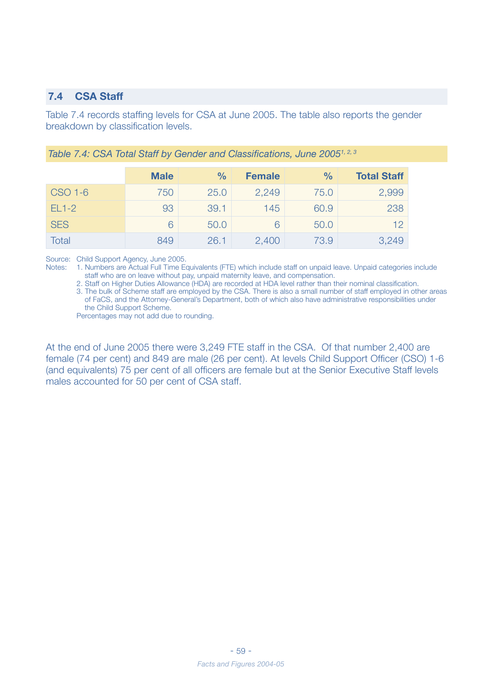#### **7.4 CSA Staff**

Table 7.4 records staffing levels for CSA at June 2005. The table also reports the gender breakdown by classification levels.

|            | <b>Male</b> | $\%$ | <b>Female</b> | $\frac{0}{0}$ | <b>Total Staff</b> |
|------------|-------------|------|---------------|---------------|--------------------|
| CSO 1-6    | 750         | 25.0 | 2,249         | 75.0          | 2,999              |
| $EL1-2$    | 93          | 39.1 | 145           | 60.9          | 238                |
| <b>SES</b> | 6           | 50.0 | 6             | 50.0          | 12                 |
| Total      | 849         | 26.1 | 2,400         | 73.9          | 3,249              |

*Table 7.4: CSA Total Staff by Gender and Classifications, June 20051, 2, 3*

Source: Child Support Agency, June 2005.

Notes: 1. Numbers are Actual Full Time Equivalents (FTE) which include staff on unpaid leave. Unpaid categories include staff who are on leave without pay, unpaid maternity leave, and compensation.

2. Staff on Higher Duties Allowance (HDA) are recorded at HDA level rather than their nominal classification.

 3. The bulk of Scheme staff are employed by the CSA. There is also a small number of staff employed in other areas of FaCS, and the Attorney-General's Department, both of which also have administrative responsibilities under the Child Support Scheme.

Percentages may not add due to rounding.

At the end of June 2005 there were 3,249 FTE staff in the CSA. Of that number 2,400 are female (74 per cent) and 849 are male (26 per cent). At levels Child Support Officer (CSO) 1-6 (and equivalents) 75 per cent of all officers are female but at the Senior Executive Staff levels males accounted for 50 per cent of CSA staff.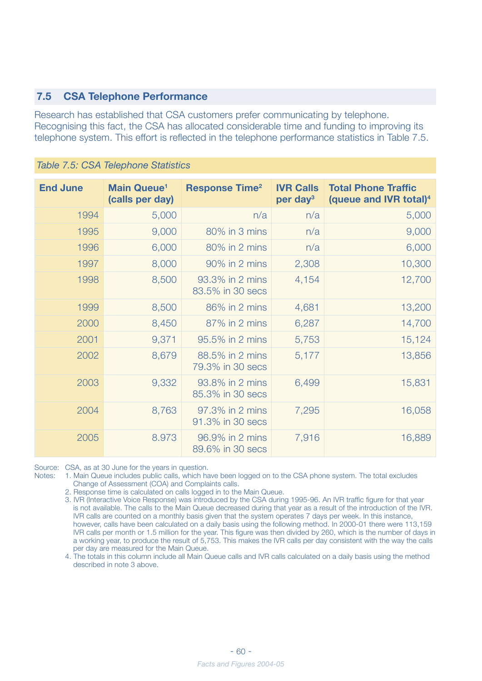#### **7.5 CSA Telephone Performance**

Research has established that CSA customers prefer communicating by telephone. Recognising this fact, the CSA has allocated considerable time and funding to improving its telephone system. This effort is reflected in the telephone performance statistics in Table 7.5.

| <b>End June</b> | <b>Main Queue<sup>1</sup></b><br>(calls per day) | <b>Response Time<sup>2</sup></b>    | <b>IVR Calls</b><br>per day <sup>3</sup> | <b>Total Phone Traffic</b><br>(queue and IVR total) <sup>4</sup> |
|-----------------|--------------------------------------------------|-------------------------------------|------------------------------------------|------------------------------------------------------------------|
| 1994            | 5,000                                            | n/a                                 | n/a                                      | 5,000                                                            |
| 1995            | 9,000                                            | 80% in 3 mins                       | n/a                                      | 9,000                                                            |
| 1996            | 6,000                                            | 80% in 2 mins                       | n/a                                      | 6,000                                                            |
| 1997            | 8,000                                            | 90% in 2 mins                       | 2,308                                    | 10,300                                                           |
| 1998            | 8,500                                            | 93.3% in 2 mins<br>83.5% in 30 secs | 4,154                                    | 12,700                                                           |
| 1999            | 8,500                                            | 86% in 2 mins                       | 4,681                                    | 13,200                                                           |
| 2000            | 8,450                                            | 87% in 2 mins                       | 6,287                                    | 14,700                                                           |
| 2001            | 9,371                                            | 95.5% in 2 mins                     | 5,753                                    | 15,124                                                           |
| 2002            | 8,679                                            | 88.5% in 2 mins<br>79.3% in 30 secs | 5,177                                    | 13,856                                                           |
| 2003            | 9,332                                            | 93.8% in 2 mins<br>85.3% in 30 secs | 6,499                                    | 15,831                                                           |
| 2004            | 8,763                                            | 97.3% in 2 mins<br>91.3% in 30 secs | 7,295                                    | 16,058                                                           |
| 2005            | 8.973                                            | 96.9% in 2 mins<br>89.6% in 30 secs | 7,916                                    | 16,889                                                           |

*Table 7.5: CSA Telephone Statistics*

Source: CSA, as at 30 June for the years in question.

- Notes: 1. Main Queue includes public calls, which have been logged on to the CSA phone system. The total excludes Change of Assessment (COA) and Complaints calls.
	- 2. Response time is calculated on calls logged in to the Main Queue.
	- 3. IVR (Interactive Voice Response) was introduced by the CSA during 1995-96. An IVR traffic figure for that year is not available. The calls to the Main Queue decreased during that year as a result of the introduction of the IVR. IVR calls are counted on a monthly basis given that the system operates 7 days per week. In this instance, however, calls have been calculated on a daily basis using the following method. In 2000-01 there were 113,159 IVR calls per month or 1.5 million for the year. This figure was then divided by 260, which is the number of days in a working year, to produce the result of 5,753. This makes the IVR calls per day consistent with the way the calls per day are measured for the Main Queue.

 4. The totals in this column include all Main Queue calls and IVR calls calculated on a daily basis using the method described in note 3 above.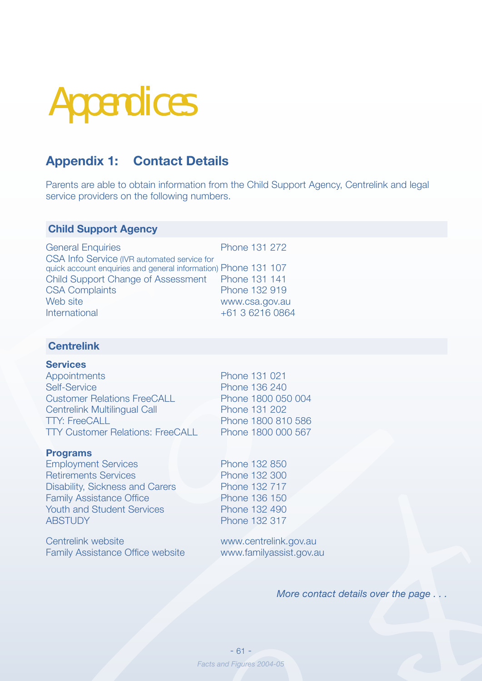# Appendices

## **Appendix 1: Contact Details**

Parents are able to obtain information from the Child Support Agency, Centrelink and legal service providers on the following numbers.

#### **Child Support Agency**

| <b>General Enquiries</b>                                                                                      | Phone 131 272   |
|---------------------------------------------------------------------------------------------------------------|-----------------|
| CSA Info Service (IVR automated service for<br>quick account enquiries and general information) Phone 131 107 |                 |
| Child Support Change of Assessment  Phone 131 141                                                             |                 |
| <b>CSA Complaints</b>                                                                                         | Phone 132 919   |
| Web site                                                                                                      | www.csa.gov.au  |
| International                                                                                                 | +61 3 6216 0864 |
|                                                                                                               |                 |

#### **Centrelink**

#### **Services**

| <b>Appointments</b>                     | Phone 1 |
|-----------------------------------------|---------|
| <b>Self-Service</b>                     | Phone 1 |
| <b>Customer Relations FreeCALL</b>      | Phone 1 |
| <b>Centrelink Multilingual Call</b>     | Phone 1 |
| <b>TTY: FreeCALL</b>                    | Phone 1 |
| <b>TTY Customer Relations: FreeCALL</b> | Phone 1 |
|                                         |         |

#### **Programs**

Employment Services Phone 132 850 Retirements Services Phone 132 300 Disability, Sickness and Carers Phone 132 717 Family Assistance Office Phone 136 150 Youth and Student Services<br>
Phone 132 490 ABSTUDY Phone 132 317

Centrelink website www.centrelink.gov.au Family Assistance Office website www.familyassist.gov.au

31 021 36 240 800 050 004 31 202 800 810 586 800 000 567

*More contact details over the page . . .*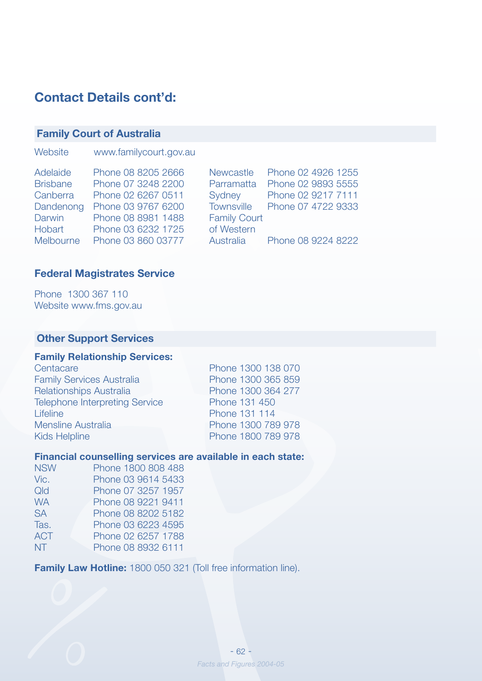## **Contact Details cont'd:**

#### **Family Court of Australia**

| Website | www.familycourt.gov.au |
|---------|------------------------|
|---------|------------------------|

| Adelaide        | Phone 08 8205 2666 |                     | Newcastle Phone 02 4926 1255  |
|-----------------|--------------------|---------------------|-------------------------------|
| <b>Brisbane</b> | Phone 07 3248 2200 |                     | Parramatta Phone 02 9893 5555 |
| Canberra        | Phone 02 6267 0511 |                     | Sydney Phone 02 9217 7111     |
| Dandenong       | Phone 03 9767 6200 |                     | Townsville Phone 07 4722 9333 |
| Darwin          | Phone 08 8981 1488 | <b>Family Court</b> |                               |
| Hobart          | Phone 03 6232 1725 | of Western          |                               |
| Melbourne       | Phone 03 860 03777 |                     | Australia Phone 08 9224 8222  |
|                 |                    |                     |                               |

#### **Federal Magistrates Service**

Phone 1300 367 110 Website www.fms.gov.au

#### **Other Support Services**

#### **Family Relationship Services:**

| Centacare                             |
|---------------------------------------|
| <b>Family Services Australia</b>      |
| <b>Relationships Australia</b>        |
| <b>Telephone Interpreting Service</b> |
| Lifeline                              |
| Mensline Australia                    |
| <b>Kids Helpline</b>                  |

Phone 1300 138 070 Phone 1300 365 859 Phone 1300 364 277 Phone 131 450 Phone 131 114 Phone 1300 789 978 Phone 1800 789 978

#### **Financial counselling services are available in each state:**

| <b>NSW</b> | Phone 1800 808 488 |
|------------|--------------------|
| Vic.       | Phone 03 9614 5433 |
| Qld        | Phone 07 3257 1957 |
| <b>WA</b>  | Phone 08 9221 9411 |
| <b>SA</b>  | Phone 08 8202 5182 |
| Tas.       | Phone 03 6223 4595 |
| <b>ACT</b> | Phone 02 6257 1788 |
| NT.        | Phone 08 8932 6111 |
|            |                    |

**Family Law Hotline:** 1800 050 321 (Toll free information line).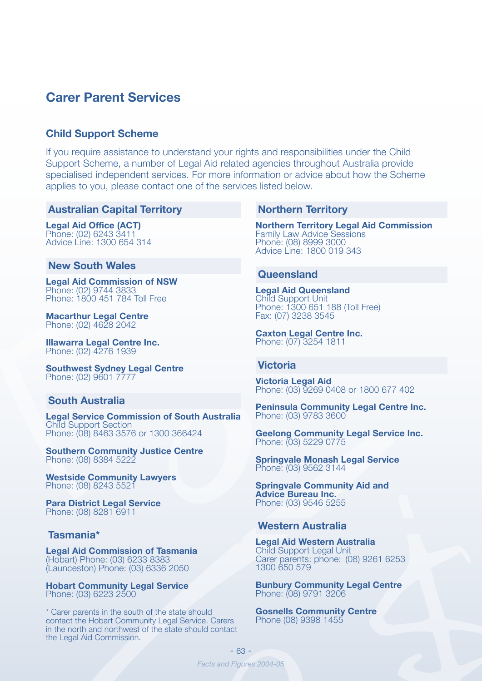### **Carer Parent Services**

#### **Child Support Scheme**

If you require assistance to understand your rights and responsibilities under the Child Support Scheme, a number of Legal Aid related agencies throughout Australia provide specialised independent services. For more information or advice about how the Scheme applies to you, please contact one of the services listed below.

#### **Australian Capital Territory**

**Legal Aid Office (ACT)** Phone: (02) 6243 3411 Advice Line: 1300 654 314

#### **New South Wales**

**Legal Aid Commission of NSW** Phone: (02) 9744 3833 Phone: 1800 451 784 Toll Free

**Macarthur Legal Centre** Phone: (02) 4628 2042

**Illawarra Legal Centre Inc.** Phone: (02) 4276 1939

**Southwest Sydney Legal Centre** Phone: (02) 9601 7777

#### **South Australia**

**Legal Service Commission of South Australia** Child Support Section Phone: (08) 8463 3576 or 1300 366424

**Southern Community Justice Centre** Phone: (08) 8384 5222

**Westside Community Lawyers** Phone: (08) 8243 5521

**Para District Legal Service** Phone: (08) 8281 6911

#### **Tasmania\***

**Legal Aid Commission of Tasmania** (Hobart) Phone: (03) 6233 8383 (Launceston) Phone: (03) 6336 2050

**Hobart Community Legal Service** Phone: (03) 6223 2500

\* Carer parents in the south of the state should contact the Hobart Community Legal Service. Carers in the north and northwest of the state should contact the Legal Aid Commission.

#### **Northern Territory**

**Northern Territory Legal Aid Commission** Family Law Advice Sessions Phone: (08) 8999 3000 Advice Line: 1800 019 343

#### **Queensland**

**Legal Aid Queensland** Child Support Unit Phone: 1300 651 188 (Toll Free) Fax: (07) 3238 3545

**Caxton Legal Centre Inc.** Phone: (07) 3254 1811

#### **Victoria**

**Victoria Legal Aid**  Phone: (03) 9269 0408 or 1800 677 402

**Peninsula Community Legal Centre Inc.** Phone: (03) 9783 3600

**Geelong Community Legal Service Inc.** Phone: (03) 5229 0775

**Springvale Monash Legal Service** Phone: (03) 9562 3144

**Springvale Community Aid and Advice Bureau Inc.** Phone: (03) 9546 5255

#### **Western Australia**

**Legal Aid Western Australia** Child Support Legal Unit Carer parents: phone: (08) 9261 6253 1300 650 579

**Bunbury Community Legal Centre** Phone: (08) 9791 3206

**Gosnells Community Centre** Phone (08) 9398 1455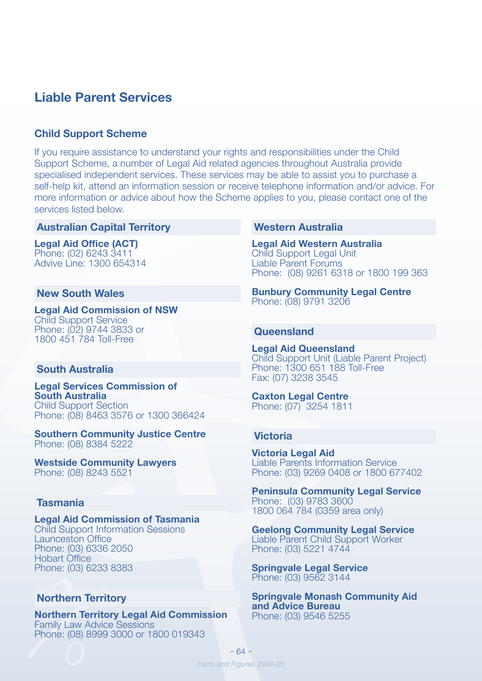### **Liable Parent Services**

#### **Child Support Scheme**

If you require assistance to understand your rights and responsibilities under the Child Support Scheme, a number of Legal Aid related agencies throughout Australia provide specialised independent services. These services may be able to assist you to purchase a self-help kit, attend an information session or receive telephone information and/or advice. For more information or advice about how the Scheme applies to you, please contact one of the services listed below.

#### **Australian Capital Territory**

**Legal Aid Office (ACT)** Phone: (02) 6243 3411 Advive Line: 1300 654314

#### **New South Wales**

**Legal Aid Commission of NSW** Child Support Service Phone: (02) 9744 3833 or 1800 451 784 Toll-Free

#### **South Australia**

**Legal Services Commission of South Australia** Child Support Section Phone: (08) 8463 3576 or 1300 366424

**Southern Community Justice Centre** Phone: (08) 8384 5222

**Westside Community Lawyers** Phone: (08) 8243 5521

#### **Tasmania**

**Legal Aid Commission of Tasmania** Child Support Information Sessions Launceston Office Phone: (03) 6336 2050 Hobart Office Phone: (03) 6233 8383

#### **Northern Territory**

**Northern Territory Legal Aid Commission** Family Law Advice Sessions Phone: (08) 8999 3000 or 1800 019343

#### **Western Australia**

**Legal Aid Western Australia** Child Support Legal Unit Liable Parent Forums Phone: (08) 9261 6318 or 1800 199 363

**Bunbury Community Legal Centre** Phone: (08) 9791 3206

#### **Queensland**

**Legal Aid Queensland** Child Support Unit (Liable Parent Project) Phone: 1300 651 188 Toll-Free Fax: (07) 3238 3545

**Caxton Legal Centre** Phone: (07) 3254 1811

#### **Victoria**

**Victoria Legal Aid** Liable Parents Information Service Phone: (03) 9269 0408 or 1800 677402

**Peninsula Community Legal Service** Phone: (03) 9783 3600 1800 064 784 (0359 area only)

**Geelong Community Legal Service** Liable Parent Child Support Worker Phone: (03) 5221 4744

**Springvale Legal Service** Phone: (03) 9562 3144

**Springvale Monash Community Aid and Advice Bureau** Phone: (03) 9546 5255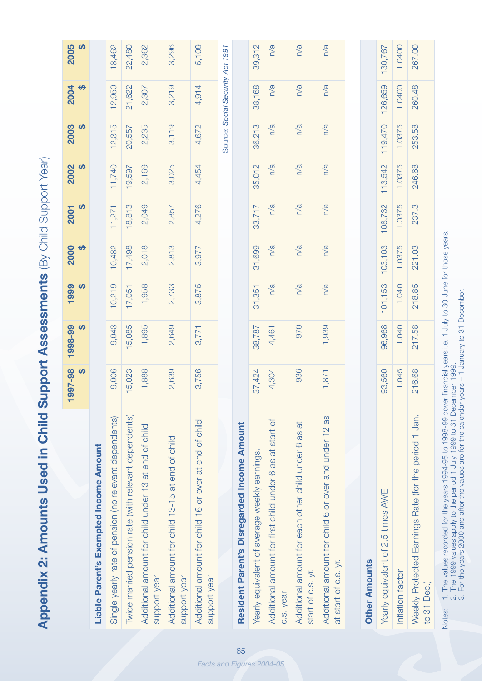Appendix 2: Amounts Used in Child Support Assessments (By Child Support Year) **Appendix 2: Amounts Used in Child Support Assessments** (By Child Support Year)

|                                                                               | 1997-98<br>$\theta$ | 1998-99<br>$\theta$ | 1999<br>$\theta$ | 2000<br>$\theta$ | မာ<br>2001 | 2002<br>$\theta$ | 2003<br>$\theta$ | 2004<br>$\theta$                 | 2005<br>$\theta$ |
|-------------------------------------------------------------------------------|---------------------|---------------------|------------------|------------------|------------|------------------|------------------|----------------------------------|------------------|
| Liable Parent's Exempted Income Amount                                        |                     |                     |                  |                  |            |                  |                  |                                  |                  |
| Single yearly rate of pension (no relevant dependents)                        | 9,006               | 9,043               | 10,219           | 10,482           | 11,271     | 11,740           | 12,315           | 12,950                           | 13,462           |
| Twice married pension rate (with relevant dependents)                         | 15,023              | 15,085              | 17,051           | 17,498           | 18,813     | 19,597           | 20,557           | 21,622                           | 22,480           |
| Additional amount for child under 13 at end of child<br>support year          | 1,888               | 1,895               | 1,958            | 2,018            | 2,049      | 2,169            | 2,235            | 2,307                            | 2,362            |
| Additional amount for child 13-15 at end of child<br>support year             | 2,639               | 2,649               | 2,733            | 2,813            | 2,857      | 3,025            | 3,119            | 3,219                            | 3,296            |
| Additional amount for child 16 or over at end of child<br>support year        | 3,756               | 3,771               | 3,875            | 3,977            | 4,276      | 4,454            | 4,672            | 4,914                            | 5,109            |
|                                                                               |                     |                     |                  |                  |            |                  |                  | Source: Social Security Act 1991 |                  |
| Resident Parent's Disregarded Income Amount                                   |                     |                     |                  |                  |            |                  |                  |                                  |                  |
| Yearly equivalent of average weekly earnings.                                 | 37,424              | 38,787              | 31,351           | 31,699           | 33,717     | 35,012           | 36,213           | 38,168                           | 39,312           |
| Additional amount for first child under 6 as at start of<br>c.s. year         | 4,304               | 4,461               | n/a              | n/a              | n/a        | $\frac{a}{a}$    | n/a              | n/a                              | n/a              |
| Additional amount for each other child under 6 as at<br>start of c.s. yr.     | 936                 | 070                 | n/a              | n/a              | n/a        | n/a              | n/a              | n/a                              | n/a              |
| Additional amount for child 6 or over and under 12 as<br>at start of c.s. yr. | 1,871               | 1,939               | n/a              | n/a              | n/a        | $\frac{a}{a}$    | n/a              | n/a                              | n/a              |
|                                                                               |                     |                     |                  |                  |            |                  |                  |                                  |                  |
| Other Amounts                                                                 |                     |                     |                  |                  |            |                  |                  |                                  |                  |
| Vaarly an inglant of 9 5 times AME                                            | <b>Q35560</b>       | <b>QR QRR</b>       | 101153           | 103103           | 108729     | 113542           | 110 470          | <b>126 650</b>                   | 130 767          |

| Yearly equivalent of 2.5 times AWE                                   | 93,560 | 96,968 | 01,153 | 103,103 | 08,732 | 13,542 | 119,470 | 126,659 | 130,767 |
|----------------------------------------------------------------------|--------|--------|--------|---------|--------|--------|---------|---------|---------|
| nflation factor                                                      | 1.045  | 1.040  | 1,040  | 1.0375  | 1.0375 | 1.0375 | 1.0375  | 1.0400  | 1.0400  |
| Neekly Protected Earnings Rate (for the period 1 Jan.<br>to 31 Dec.) | 216.68 | 217.58 | 218.85 | 221.03  | 237.3  | 246.68 | 253.58  | 260.48  | 267.00  |
|                                                                      |        |        |        |         |        |        |         |         |         |

1. The values recorded for the years 1994-95 to 1998-99 cover financial years i.e. 1 July to 30 June for those years.<br>2. The 1999 values apply to the period 1 July 1999 to 31 December 1999.<br>3. For the years 2000 and after Notes: 1. The values recorded for the years 1994-95 to 1998-99 cover financial years i.e. 1 July to 30 June for those years. 2. The 1999 values apply to the period 1 July 1999 to 31 December 1999. Notes:

3. For the years 2000 and after the values are for the calendar years – 1 January to 31 December.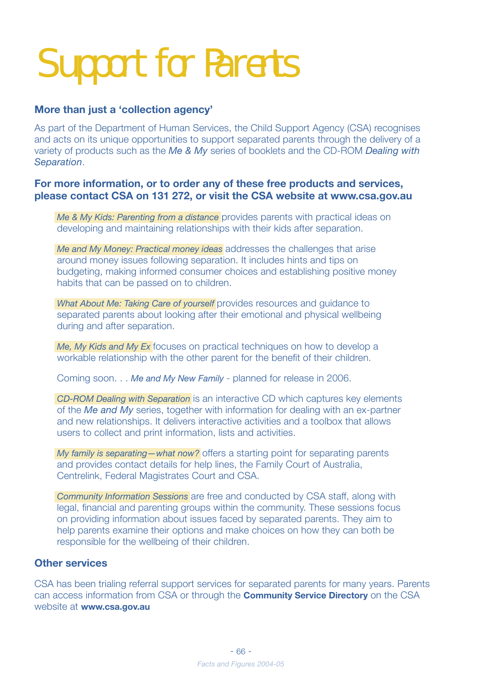## Support for Parents

#### **More than just a 'collection agency'**

As part of the Department of Human Services, the Child Support Agency (CSA) recognises and acts on its unique opportunities to support separated parents through the delivery of a variety of products such as the *Me & My* series of booklets and the CD-ROM *Dealing with Separation*.

#### **For more information, or to order any of these free products and services, please contact CSA on 131 272, or visit the CSA website at www.csa.gov.au**

*Me & My Kids: Parenting from a distance* provides parents with practical ideas on developing and maintaining relationships with their kids after separation.

*Me and My Money: Practical money ideas* addresses the challenges that arise around money issues following separation. It includes hints and tips on budgeting, making informed consumer choices and establishing positive money habits that can be passed on to children.

*What About Me: Taking Care of yourself provides resources and guidance to* separated parents about looking after their emotional and physical wellbeing during and after separation.

*Me, My Kids and My Ex* focuses on practical techniques on how to develop a workable relationship with the other parent for the benefit of their children.

Coming soon. . . *Me and My New Family* - planned for release in 2006.

*CD-ROM Dealing with Separation* is an interactive CD which captures key elements of the *Me and My* series, together with information for dealing with an ex-partner and new relationships. It delivers interactive activities and a toolbox that allows users to collect and print information, lists and activities.

*My family is separating—what now?* offers a starting point for separating parents and provides contact details for help lines, the Family Court of Australia, Centrelink, Federal Magistrates Court and CSA.

*Community Information Sessions* are free and conducted by CSA staff, along with legal, financial and parenting groups within the community. These sessions focus on providing information about issues faced by separated parents. They aim to help parents examine their options and make choices on how they can both be responsible for the wellbeing of their children.

#### **Other services**

CSA has been trialing referral support services for separated parents for many years. Parents can access information from CSA or through the **Community Service Directory** on the CSA website at **www.csa.gov.au**